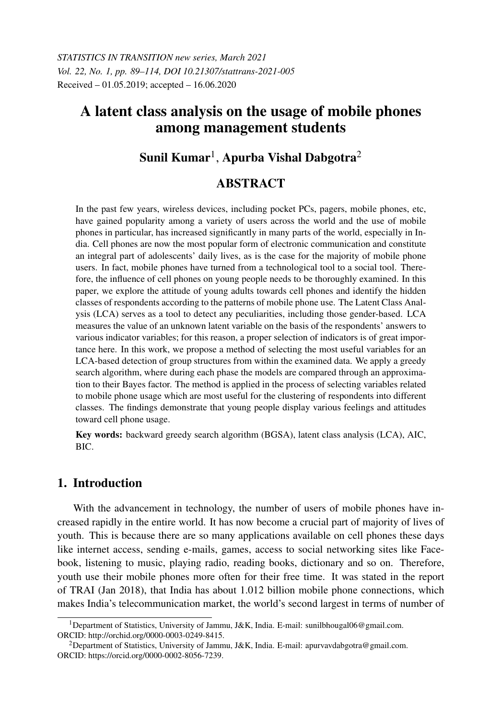# A latent class analysis on the usage of mobile phones among management students

## Sunil Kumar $^{\rm l}$ , Apurba Vishal Dabgotra $^{\rm 2}$

## ABSTRACT

In the past few years, wireless devices, including pocket PCs, pagers, mobile phones, etc, have gained popularity among a variety of users across the world and the use of mobile phones in particular, has increased significantly in many parts of the world, especially in India. Cell phones are now the most popular form of electronic communication and constitute an integral part of adolescents' daily lives, as is the case for the majority of mobile phone users. In fact, mobile phones have turned from a technological tool to a social tool. Therefore, the influence of cell phones on young people needs to be thoroughly examined. In this paper, we explore the attitude of young adults towards cell phones and identify the hidden classes of respondents according to the patterns of mobile phone use. The Latent Class Analysis (LCA) serves as a tool to detect any peculiarities, including those gender-based. LCA measures the value of an unknown latent variable on the basis of the respondents' answers to various indicator variables; for this reason, a proper selection of indicators is of great importance here. In this work, we propose a method of selecting the most useful variables for an LCA-based detection of group structures from within the examined data. We apply a greedy search algorithm, where during each phase the models are compared through an approximation to their Bayes factor. The method is applied in the process of selecting variables related to mobile phone usage which are most useful for the clustering of respondents into different classes. The findings demonstrate that young people display various feelings and attitudes toward cell phone usage.

Key words: backward greedy search algorithm (BGSA), latent class analysis (LCA), AIC, BIC.

## 1. Introduction

With the advancement in technology, the number of users of mobile phones have increased rapidly in the entire world. It has now become a crucial part of majority of lives of youth. This is because there are so many applications available on cell phones these days like internet access, sending e-mails, games, access to social networking sites like Facebook, listening to music, playing radio, reading books, dictionary and so on. Therefore, youth use their mobile phones more often for their free time. It was stated in the report of TRAI (Jan 2018), that India has about 1.012 billion mobile phone connections, which makes India's telecommunication market, the world's second largest in terms of number of

<sup>&</sup>lt;sup>1</sup>Department of Statistics, University of Jammu, J&K, India. E-mail: sunilbhougal06@gmail.com. ORCID: http://orchid.org/0000-0003-0249-8415.

<sup>&</sup>lt;sup>2</sup>Department of Statistics, University of Jammu, J&K, India. E-mail: apurvavdabgotra@gmail.com. ORCID: https://orcid.org/0000-0002-8056-7239.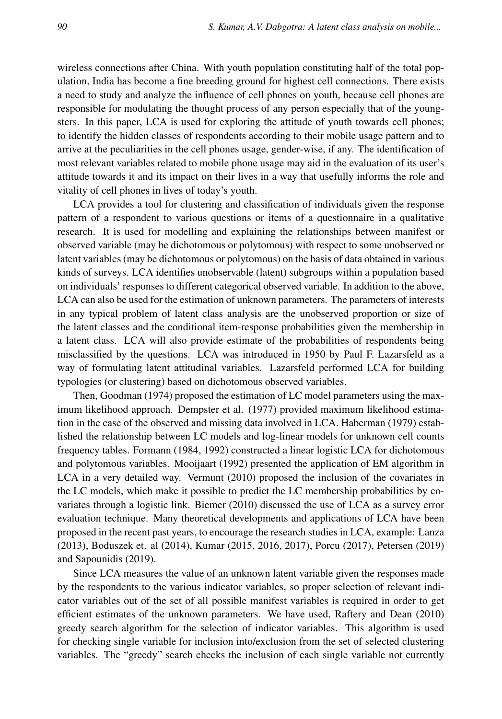wireless connections after China. With youth population constituting half of the total population, India has become a fine breeding ground for highest cell connections. There exists a need to study and analyze the influence of cell phones on youth, because cell phones are responsible for modulating the thought process of any person especially that of the youngsters. In this paper, LCA is used for exploring the attitude of youth towards cell phones; to identify the hidden classes of respondents according to their mobile usage pattern and to arrive at the peculiarities in the cell phones usage, gender-wise, if any. The identification of most relevant variables related to mobile phone usage may aid in the evaluation of its user's attitude towards it and its impact on their lives in a way that usefully informs the role and vitality of cell phones in lives of today's youth.

LCA provides a tool for clustering and classification of individuals given the response pattern of a respondent to various questions or items of a questionnaire in a qualitative research. It is used for modelling and explaining the relationships between manifest or observed variable (may be dichotomous or polytomous) with respect to some unobserved or latent variables (may be dichotomous or polytomous) on the basis of data obtained in various kinds of surveys. LCA identifies unobservable (latent) subgroups within a population based on individuals' responses to different categorical observed variable. In addition to the above, LCA can also be used for the estimation of unknown parameters. The parameters of interests in any typical problem of latent class analysis are the unobserved proportion or size of the latent classes and the conditional item-response probabilities given the membership in a latent class. LCA will also provide estimate of the probabilities of respondents being misclassified by the questions. LCA was introduced in 1950 by Paul F. Lazarsfeld as a way of formulating latent attitudinal variables. Lazarsfeld performed LCA for building typologies (or clustering) based on dichotomous observed variables.

Then, Goodman (1974) proposed the estimation of LC model parameters using the maximum likelihood approach. Dempster et al. (1977) provided maximum likelihood estimation in the case of the observed and missing data involved in LCA. Haberman (1979) established the relationship between LC models and log-linear models for unknown cell counts frequency tables. Formann (1984, 1992) constructed a linear logistic LCA for dichotomous and polytomous variables. Mooijaart (1992) presented the application of EM algorithm in LCA in a very detailed way. Vermunt (2010) proposed the inclusion of the covariates in the LC models, which make it possible to predict the LC membership probabilities by covariates through a logistic link. Biemer (2010) discussed the use of LCA as a survey error evaluation technique. Many theoretical developments and applications of LCA have been proposed in the recent past years, to encourage the research studies in LCA, example: Lanza (2013), Boduszek et. al (2014), Kumar (2015, 2016, 2017), Porcu (2017), Petersen (2019) and Sapounidis (2019).

Since LCA measures the value of an unknown latent variable given the responses made by the respondents to the various indicator variables, so proper selection of relevant indicator variables out of the set of all possible manifest variables is required in order to get efficient estimates of the unknown parameters. We have used, Raftery and Dean (2010) greedy search algorithm for the selection of indicator variables. This algorithm is used for checking single variable for inclusion into/exclusion from the set of selected clustering variables. The "greedy" search checks the inclusion of each single variable not currently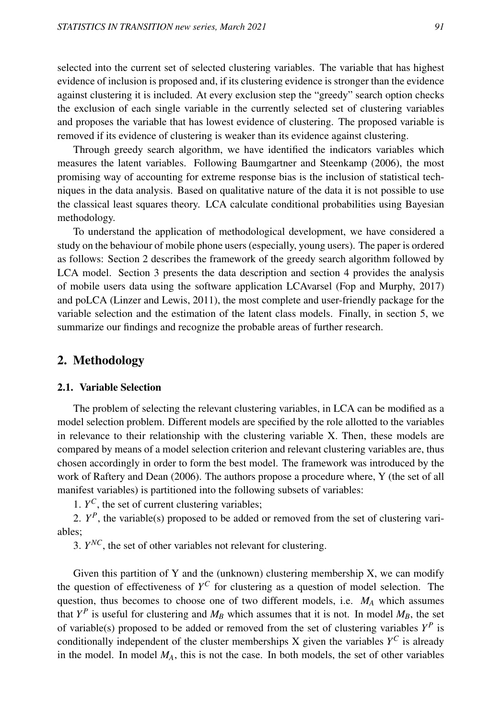selected into the current set of selected clustering variables. The variable that has highest evidence of inclusion is proposed and, if its clustering evidence is stronger than the evidence against clustering it is included. At every exclusion step the "greedy" search option checks the exclusion of each single variable in the currently selected set of clustering variables and proposes the variable that has lowest evidence of clustering. The proposed variable is removed if its evidence of clustering is weaker than its evidence against clustering.

Through greedy search algorithm, we have identified the indicators variables which measures the latent variables. Following Baumgartner and Steenkamp (2006), the most promising way of accounting for extreme response bias is the inclusion of statistical techniques in the data analysis. Based on qualitative nature of the data it is not possible to use the classical least squares theory. LCA calculate conditional probabilities using Bayesian methodology.

To understand the application of methodological development, we have considered a study on the behaviour of mobile phone users (especially, young users). The paper is ordered as follows: Section 2 describes the framework of the greedy search algorithm followed by LCA model. Section 3 presents the data description and section 4 provides the analysis of mobile users data using the software application LCAvarsel (Fop and Murphy, 2017) and poLCA (Linzer and Lewis, 2011), the most complete and user-friendly package for the variable selection and the estimation of the latent class models. Finally, in section 5, we summarize our findings and recognize the probable areas of further research.

### 2. Methodology

#### 2.1. Variable Selection

The problem of selecting the relevant clustering variables, in LCA can be modified as a model selection problem. Different models are specified by the role allotted to the variables in relevance to their relationship with the clustering variable X. Then, these models are compared by means of a model selection criterion and relevant clustering variables are, thus chosen accordingly in order to form the best model. The framework was introduced by the work of Raftery and Dean (2006). The authors propose a procedure where, Y (the set of all manifest variables) is partitioned into the following subsets of variables:

1.  $Y^C$ , the set of current clustering variables;

2.  $Y^P$ , the variable(s) proposed to be added or removed from the set of clustering variables;

3.  $Y^{NC}$ , the set of other variables not relevant for clustering.

Given this partition of Y and the (unknown) clustering membership  $X$ , we can modify the question of effectiveness of  $Y^C$  for clustering as a question of model selection. The question, thus becomes to choose one of two different models, i.e. *M<sup>A</sup>* which assumes that  $Y^P$  is useful for clustering and  $M_B$  which assumes that it is not. In model  $M_B$ , the set of variable(s) proposed to be added or removed from the set of clustering variables  $Y^P$  is conditionally independent of the cluster memberships  $X$  given the variables  $Y^C$  is already in the model. In model  $M_A$ , this is not the case. In both models, the set of other variables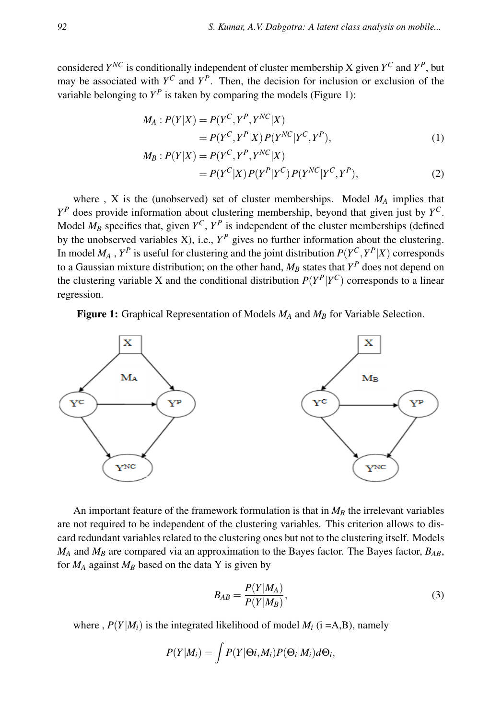considered  $Y^{NC}$  is conditionally independent of cluster membership X given  $Y^C$  and  $Y^P$ , but may be associated with  $Y^C$  and  $Y^P$ . Then, the decision for inclusion or exclusion of the variable belonging to  $Y^P$  is taken by comparing the models (Figure 1):

$$
M_A: P(Y|X) = P(Y^C, Y^P, Y^{NC}|X)
$$
  
=  $P(Y^C, Y^P|X) P(Y^{NC}|Y^C, Y^P),$  (1)

$$
M_B: P(Y|X) = P(Y^C, Y^P, Y^{NC}|X)
$$
  
=  $P(Y^C|X) P(Y^P|Y^C) P(Y^{NC}|Y^C, Y^P),$  (2)

where , X is the (unobserved) set of cluster memberships. Model  $M_A$  implies that *Y <sup>P</sup>* does provide information about clustering membership, beyond that given just by *Y C*. Model  $M_B$  specifies that, given  $Y^C$ ,  $Y^P$  is independent of the cluster memberships (defined by the unobserved variables  $X$ ), i.e.,  $Y^P$  gives no further information about the clustering. In model  $M_A$  ,  $Y^P$  is useful for clustering and the joint distribution  $P(Y^C, Y^P|X)$  corresponds to a Gaussian mixture distribution; on the other hand, *M<sup>B</sup>* states that *Y <sup>P</sup>* does not depend on the clustering variable X and the conditional distribution  $P(Y^P|Y^C)$  corresponds to a linear regression.

Figure 1: Graphical Representation of Models *M<sup>A</sup>* and *M<sup>B</sup>* for Variable Selection.



An important feature of the framework formulation is that in  $M_B$  the irrelevant variables are not required to be independent of the clustering variables. This criterion allows to discard redundant variables related to the clustering ones but not to the clustering itself. Models *M<sup>A</sup>* and *M<sup>B</sup>* are compared via an approximation to the Bayes factor. The Bayes factor, *BAB*, for  $M_A$  against  $M_B$  based on the data Y is given by

$$
B_{AB} = \frac{P(Y|M_A)}{P(Y|M_B)},
$$
\n(3)

where ,  $P(Y|M_i)$  is the integrated likelihood of model  $M_i$  (i =A,B), namely

$$
P(Y|M_i) = \int P(Y|\Theta i, M_i) P(\Theta_i|M_i) d\Theta_i,
$$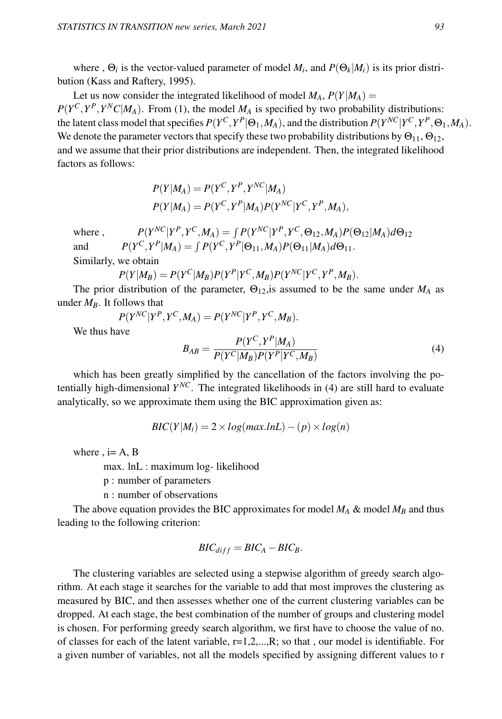where ,  $\Theta_i$  is the vector-valued parameter of model  $M_i$ , and  $P(\Theta_k|M_i)$  is its prior distribution (Kass and Raftery, 1995).

Let us now consider the integrated likelihood of model  $M_A$ ,  $P(Y|M_A)$  =  $P(Y^C, Y^P, Y^N C | M_A)$ . From (1), the model  $M_A$  is specified by two probability distributions: the latent class model that specifies  $P(Y^C, Y^P | \Theta_1, M_A)$ , and the distribution  $P(Y^{NC} | Y^C, Y^P, \Theta_1, M_A)$ . We denote the parameter vectors that specify these two probability distributions by  $\Theta_{11}$ ,  $\Theta_{12}$ , and we assume that their prior distributions are independent. Then, the integrated likelihood factors as follows:

$$
P(Y|M_A) = P(Y^C, Y^P, Y^{NC}|M_A)
$$
  

$$
P(Y|M_A) = P(Y^C, Y^P|M_A)P(Y^{NC}|Y^C, Y^P, M_A),
$$

 $where.$  $\int P(Y^P, Y^C, M_A) = \int P(Y^{NC} | Y^P, Y^C, \Theta_{12}, M_A) P(\Theta_{12} | M_A) d\Theta_{12}$ and  $P(Y^C, Y^P | M_A) = \int P(Y^C, Y^P | \Theta_{11}, M_A) P(\Theta_{11} | M_A) d\Theta_{11}.$ Similarly, we obtain

$$
P(Y|M_B) = P(Y^C|M_B)P(Y^P|Y^C, M_B)P(Y^{NC}|Y^C, Y^P, M_B).
$$

The prior distribution of the parameter,  $\Theta_{12}$ , is assumed to be the same under  $M_A$  as under  $M_B$ . It follows that

$$
P(Y^{NC}|Y^P, Y^C, M_A) = P(Y^{NC}|Y^P, Y^C, M_B).
$$

We thus have

$$
B_{AB} = \frac{P(Y^C, Y^P|M_A)}{P(Y^C|M_B)P(Y^P|Y^C, M_B)}
$$
(4)

which has been greatly simplified by the cancellation of the factors involving the potentially high-dimensional *Y NC*. The integrated likelihoods in (4) are still hard to evaluate analytically, so we approximate them using the BIC approximation given as:

$$
BIC(Y|M_i) = 2 \times log(max.lnL) - (p) \times log(n)
$$

where  $, i = A, B$ 

max. lnL : maximum log- likelihood

p : number of parameters

n : number of observations

The above equation provides the BIC approximates for model  $M_A \&$  model  $M_B$  and thus leading to the following criterion:

$$
BIC_{diff} = BIC_A - BIC_B.
$$

The clustering variables are selected using a stepwise algorithm of greedy search algorithm. At each stage it searches for the variable to add that most improves the clustering as measured by BIC, and then assesses whether one of the current clustering variables can be dropped. At each stage, the best combination of the number of groups and clustering model is chosen. For performing greedy search algorithm, we first have to choose the value of no. of classes for each of the latent variable,  $r=1,2,...,R$ ; so that, our model is identifiable. For a given number of variables, not all the models specified by assigning different values to r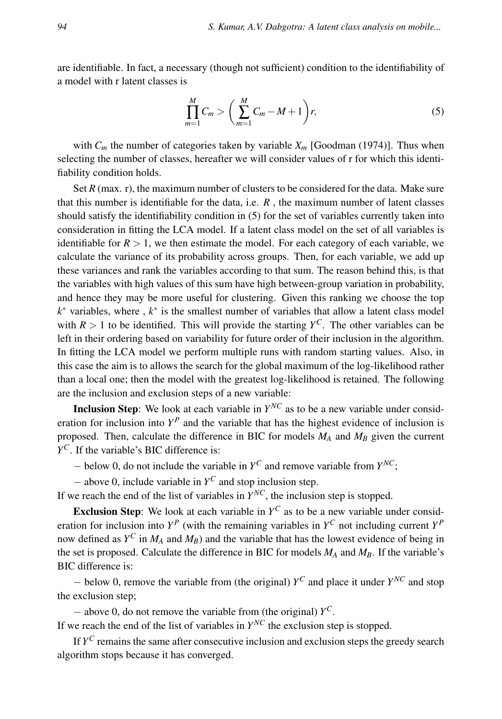are identifiable. In fact, a necessary (though not sufficient) condition to the identifiability of a model with r latent classes is

$$
\prod_{m=1}^{M} C_m > \left(\sum_{m=1}^{M} C_m - M + 1\right) r,\tag{5}
$$

with  $C_m$  the number of categories taken by variable  $X_m$  [Goodman (1974)]. Thus when selecting the number of classes, hereafter we will consider values of r for which this identifiability condition holds.

Set  $R$  (max. r), the maximum number of clusters to be considered for the data. Make sure that this number is identifiable for the data, i.e.  $R$ , the maximum number of latent classes should satisfy the identifiability condition in (5) for the set of variables currently taken into consideration in fitting the LCA model. If a latent class model on the set of all variables is identifiable for  $R > 1$ , we then estimate the model. For each category of each variable, we calculate the variance of its probability across groups. Then, for each variable, we add up these variances and rank the variables according to that sum. The reason behind this, is that the variables with high values of this sum have high between-group variation in probability, and hence they may be more useful for clustering. Given this ranking we choose the top *k*<sup>∗</sup> variables, where, *k*<sup>∗</sup> is the smallest number of variables that allow a latent class model with  $R > 1$  to be identified. This will provide the starting  $Y^C$ . The other variables can be left in their ordering based on variability for future order of their inclusion in the algorithm. In fitting the LCA model we perform multiple runs with random starting values. Also, in this case the aim is to allows the search for the global maximum of the log-likelihood rather than a local one; then the model with the greatest log-likelihood is retained. The following are the inclusion and exclusion steps of a new variable:

**Inclusion Step**: We look at each variable in  $Y^{NC}$  as to be a new variable under consideration for inclusion into  $Y^P$  and the variable that has the highest evidence of inclusion is proposed. Then, calculate the difference in BIC for models *M<sup>A</sup>* and *M<sup>B</sup>* given the current *Y <sup>C</sup>*. If the variable's BIC difference is:

 $-$  below 0, do not include the variable in  $Y^C$  and remove variable from  $Y^{NC}$ ;

− above 0, include variable in *Y <sup>C</sup>* and stop inclusion step.

If we reach the end of the list of variables in  $Y^{NC}$ , the inclusion step is stopped.

**Exclusion Step**: We look at each variable in  $Y^C$  as to be a new variable under consideration for inclusion into  $Y^P$  (with the remaining variables in  $Y^C$  not including current  $Y^P$ now defined as *Y <sup>C</sup>* in *M<sup>A</sup>* and *MB*) and the variable that has the lowest evidence of being in the set is proposed. Calculate the difference in BIC for models *M<sup>A</sup>* and *MB*. If the variable's BIC difference is:

− below 0, remove the variable from (the original) *Y <sup>C</sup>* and place it under *Y NC* and stop the exclusion step;

− above 0, do not remove the variable from (the original) *Y C*.

If we reach the end of the list of variables in  $Y^{NC}$  the exclusion step is stopped.

If  $Y^C$  remains the same after consecutive inclusion and exclusion steps the greedy search algorithm stops because it has converged.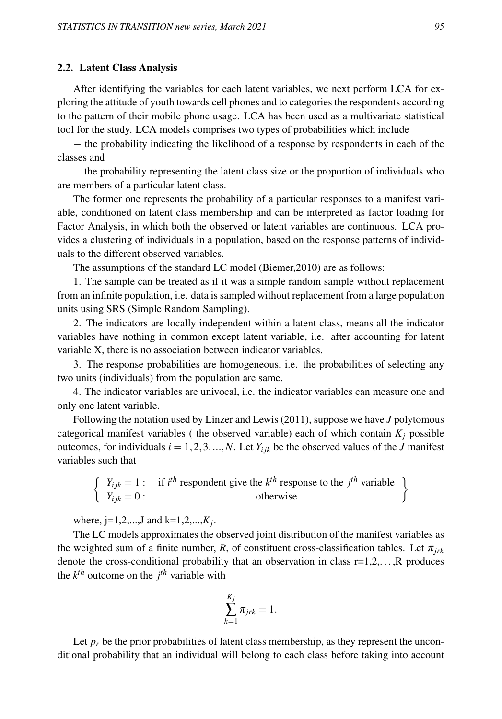#### 2.2. Latent Class Analysis

After identifying the variables for each latent variables, we next perform LCA for exploring the attitude of youth towards cell phones and to categories the respondents according to the pattern of their mobile phone usage. LCA has been used as a multivariate statistical tool for the study. LCA models comprises two types of probabilities which include

− the probability indicating the likelihood of a response by respondents in each of the classes and

− the probability representing the latent class size or the proportion of individuals who are members of a particular latent class.

The former one represents the probability of a particular responses to a manifest variable, conditioned on latent class membership and can be interpreted as factor loading for Factor Analysis, in which both the observed or latent variables are continuous. LCA provides a clustering of individuals in a population, based on the response patterns of individuals to the different observed variables.

The assumptions of the standard LC model (Biemer,2010) are as follows:

1. The sample can be treated as if it was a simple random sample without replacement from an infinite population, i.e. data is sampled without replacement from a large population units using SRS (Simple Random Sampling).

2. The indicators are locally independent within a latent class, means all the indicator variables have nothing in common except latent variable, i.e. after accounting for latent variable X, there is no association between indicator variables.

3. The response probabilities are homogeneous, i.e. the probabilities of selecting any two units (individuals) from the population are same.

4. The indicator variables are univocal, i.e. the indicator variables can measure one and only one latent variable.

Following the notation used by Linzer and Lewis (2011), suppose we have *J* polytomous categorical manifest variables ( the observed variable) each of which contain  $K_j$  possible outcomes, for individuals  $i = 1, 2, 3, ..., N$ . Let  $Y_{ijk}$  be the observed values of the *J* manifest variables such that

$$
\begin{cases}\nY_{ijk} = 1: & \text{if } i^{th} \text{ responent give the } k^{th} \text{ response to the } j^{th} \text{ variable} \\
Y_{ijk} = 0:\n\end{cases}
$$

where,  $j=1,2,...,J$  and  $k=1,2,...,K_j$ .

The LC models approximates the observed joint distribution of the manifest variables as the weighted sum of a finite number, *R*, of constituent cross-classification tables. Let  $\pi_{irk}$ denote the cross-conditional probability that an observation in class  $r=1,2,\ldots,R$  produces the  $k^{th}$  outcome on the  $j^{th}$  variable with

$$
\sum_{k=1}^{K_j} \pi_{jrk} = 1.
$$

Let  $p_r$  be the prior probabilities of latent class membership, as they represent the unconditional probability that an individual will belong to each class before taking into account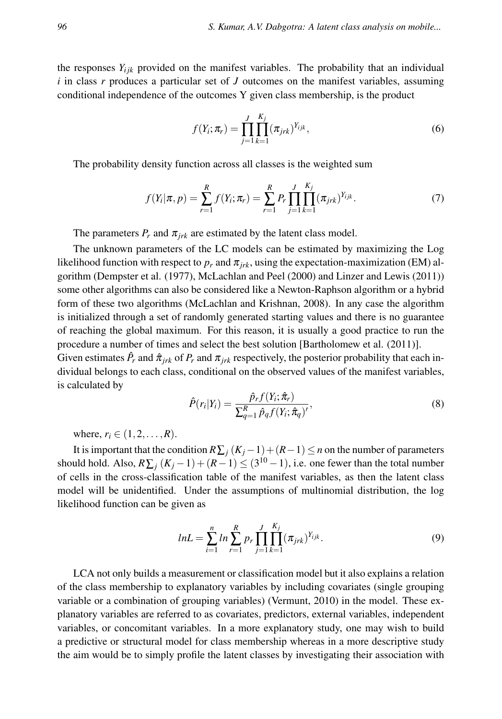the responses  $Y_{ijk}$  provided on the manifest variables. The probability that an individual *i* in class *r* produces a particular set of *J* outcomes on the manifest variables, assuming conditional independence of the outcomes Y given class membership, is the product

$$
f(Y_i; \pi_r) = \prod_{j=1}^{J} \prod_{k=1}^{K_j} (\pi_{jrk})^{Y_{ijk}},
$$
\n(6)

The probability density function across all classes is the weighted sum

$$
f(Y_i|\pi, p) = \sum_{r=1}^{R} f(Y_i; \pi_r) = \sum_{r=1}^{R} P_r \prod_{j=1}^{J} \prod_{k=1}^{K_j} (\pi_{jrk})^{Y_{ijk}}.
$$
 (7)

The parameters  $P_r$  and  $\pi_{irk}$  are estimated by the latent class model.

The unknown parameters of the LC models can be estimated by maximizing the Log likelihood function with respect to  $p_r$  and  $\pi_{irk}$ , using the expectation-maximization (EM) algorithm (Dempster et al. (1977), McLachlan and Peel (2000) and Linzer and Lewis (2011)) some other algorithms can also be considered like a Newton-Raphson algorithm or a hybrid form of these two algorithms (McLachlan and Krishnan, 2008). In any case the algorithm is initialized through a set of randomly generated starting values and there is no guarantee of reaching the global maximum. For this reason, it is usually a good practice to run the procedure a number of times and select the best solution [Bartholomew et al. (2011)].

Given estimates  $\hat{P}_r$  and  $\hat{\pi}_{jrk}$  of  $P_r$  and  $\pi_{jrk}$  respectively, the posterior probability that each individual belongs to each class, conditional on the observed values of the manifest variables, is calculated by

$$
\hat{P}(r_i|Y_i) = \frac{\hat{p}_r f(Y_i; \hat{\pi}_r)}{\sum_{q=1}^R \hat{p}_q f(Y_i; \hat{\pi}_q)'},\tag{8}
$$

where,  $r_i \in (1, 2, ..., R)$ .

It is important that the condition  $R\sum_j(K_j-1)+(R-1)\leq n$  on the number of parameters should hold. Also,  $R\sum_j (K_j-1) + (R-1) \le (3^{10}-1)$ , i.e. one fewer than the total number of cells in the cross-classification table of the manifest variables, as then the latent class model will be unidentified. Under the assumptions of multinomial distribution, the log likelihood function can be given as

$$
lnL = \sum_{i=1}^{n} ln \sum_{r=1}^{R} p_r \prod_{j=1}^{J} \prod_{k=1}^{K_j} (\pi_{jrk})^{Y_{ijk}}.
$$
 (9)

LCA not only builds a measurement or classification model but it also explains a relation of the class membership to explanatory variables by including covariates (single grouping variable or a combination of grouping variables) (Vermunt, 2010) in the model. These explanatory variables are referred to as covariates, predictors, external variables, independent variables, or concomitant variables. In a more explanatory study, one may wish to build a predictive or structural model for class membership whereas in a more descriptive study the aim would be to simply profile the latent classes by investigating their association with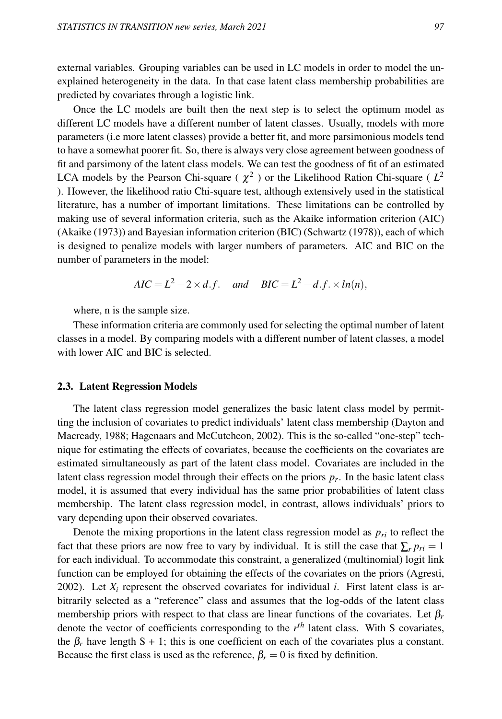external variables. Grouping variables can be used in LC models in order to model the unexplained heterogeneity in the data. In that case latent class membership probabilities are predicted by covariates through a logistic link.

Once the LC models are built then the next step is to select the optimum model as different LC models have a different number of latent classes. Usually, models with more parameters (i.e more latent classes) provide a better fit, and more parsimonious models tend to have a somewhat poorer fit. So, there is always very close agreement between goodness of fit and parsimony of the latent class models. We can test the goodness of fit of an estimated LCA models by the Pearson Chi-square ( $\chi^2$ ) or the Likelihood Ration Chi-square ( $L^2$ ). However, the likelihood ratio Chi-square test, although extensively used in the statistical literature, has a number of important limitations. These limitations can be controlled by making use of several information criteria, such as the Akaike information criterion (AIC) (Akaike (1973)) and Bayesian information criterion (BIC) (Schwartz (1978)), each of which is designed to penalize models with larger numbers of parameters. AIC and BIC on the number of parameters in the model:

$$
AIC = L^2 - 2 \times d.f.
$$
 and 
$$
BIC = L^2 - d.f. \times ln(n),
$$

where, n is the sample size.

These information criteria are commonly used for selecting the optimal number of latent classes in a model. By comparing models with a different number of latent classes, a model with lower AIC and BIC is selected.

#### 2.3. Latent Regression Models

The latent class regression model generalizes the basic latent class model by permitting the inclusion of covariates to predict individuals' latent class membership (Dayton and Macready, 1988; Hagenaars and McCutcheon, 2002). This is the so-called "one-step" technique for estimating the effects of covariates, because the coefficients on the covariates are estimated simultaneously as part of the latent class model. Covariates are included in the latent class regression model through their effects on the priors *p<sup>r</sup>* . In the basic latent class model, it is assumed that every individual has the same prior probabilities of latent class membership. The latent class regression model, in contrast, allows individuals' priors to vary depending upon their observed covariates.

Denote the mixing proportions in the latent class regression model as  $p_{ri}$  to reflect the fact that these priors are now free to vary by individual. It is still the case that  $\sum_{r} p_{ri} = 1$ for each individual. To accommodate this constraint, a generalized (multinomial) logit link function can be employed for obtaining the effects of the covariates on the priors (Agresti, 2002). Let  $X_i$  represent the observed covariates for individual *i*. First latent class is arbitrarily selected as a "reference" class and assumes that the log-odds of the latent class membership priors with respect to that class are linear functions of the covariates. Let β*<sup>r</sup>* denote the vector of coefficients corresponding to the *r th* latent class. With S covariates, the  $\beta_r$  have length S + 1; this is one coefficient on each of the covariates plus a constant. Because the first class is used as the reference,  $\beta_r = 0$  is fixed by definition.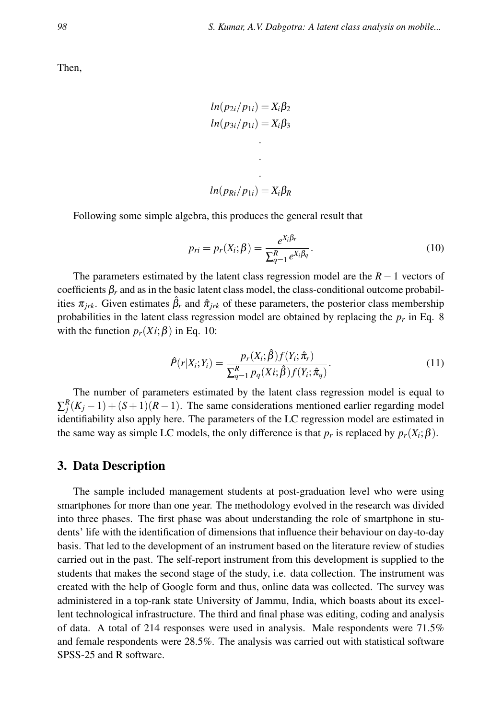Then,

$$
ln(p_{2i}/p_{1i}) = X_i\beta_2
$$
  

$$
ln(p_{3i}/p_{1i}) = X_i\beta_3
$$

$$
ln(p_{Ri}/p_{1i})=X_i\beta_R
$$

Following some simple algebra, this produces the general result that

$$
p_{ri} = p_r(X_i; \beta) = \frac{e^{X_i \beta_r}}{\sum_{q=1}^R e^{X_i \beta_q}}.
$$
\n(10)

The parameters estimated by the latent class regression model are the *R*−1 vectors of coefficients  $\beta_r$  and as in the basic latent class model, the class-conditional outcome probabilities  $\pi_{irk}$ . Given estimates  $\beta_r$  and  $\hat{\pi}_{irk}$  of these parameters, the posterior class membership probabilities in the latent class regression model are obtained by replacing the *p<sup>r</sup>* in Eq. 8 with the function  $p_r(X_i; \beta)$  in Eq. 10:

$$
\hat{P}(r|X_i;Y_i) = \frac{p_r(X_i;\hat{\beta})f(Y_i;\hat{\pi}_r)}{\sum_{q=1}^R p_q(X_i;\hat{\beta})f(Y_i;\hat{\pi}_q)}.
$$
\n(11)

The number of parameters estimated by the latent class regression model is equal to  $\sum_{j}^{R}(K_{j}-1) + (S+1)(R-1)$ . The same considerations mentioned earlier regarding model identifiability also apply here. The parameters of the LC regression model are estimated in the same way as simple LC models, the only difference is that  $p_r$  is replaced by  $p_r(X_i; \beta)$ .

#### 3. Data Description

The sample included management students at post-graduation level who were using smartphones for more than one year. The methodology evolved in the research was divided into three phases. The first phase was about understanding the role of smartphone in students' life with the identification of dimensions that influence their behaviour on day-to-day basis. That led to the development of an instrument based on the literature review of studies carried out in the past. The self-report instrument from this development is supplied to the students that makes the second stage of the study, i.e. data collection. The instrument was created with the help of Google form and thus, online data was collected. The survey was administered in a top-rank state University of Jammu, India, which boasts about its excellent technological infrastructure. The third and final phase was editing, coding and analysis of data. A total of 214 responses were used in analysis. Male respondents were 71.5% and female respondents were 28.5%. The analysis was carried out with statistical software SPSS-25 and R software.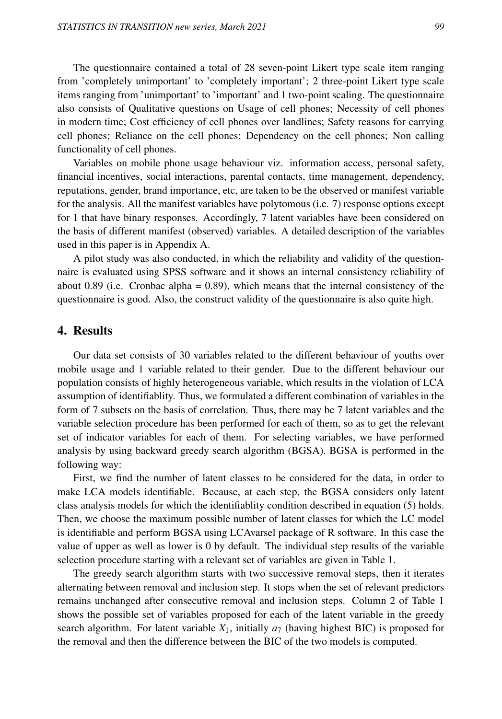The questionnaire contained a total of 28 seven-point Likert type scale item ranging from 'completely unimportant' to 'completely important'; 2 three-point Likert type scale items ranging from 'unimportant' to 'important' and 1 two-point scaling. The questionnaire also consists of Qualitative questions on Usage of cell phones; Necessity of cell phones in modern time; Cost efficiency of cell phones over landlines; Safety reasons for carrying cell phones; Reliance on the cell phones; Dependency on the cell phones; Non calling functionality of cell phones.

Variables on mobile phone usage behaviour viz. information access, personal safety, financial incentives, social interactions, parental contacts, time management, dependency, reputations, gender, brand importance, etc, are taken to be the observed or manifest variable for the analysis. All the manifest variables have polytomous (i.e. 7) response options except for 1 that have binary responses. Accordingly, 7 latent variables have been considered on the basis of different manifest (observed) variables. A detailed description of the variables used in this paper is in Appendix A.

A pilot study was also conducted, in which the reliability and validity of the questionnaire is evaluated using SPSS software and it shows an internal consistency reliability of about 0.89 (i.e. Cronbac alpha =  $0.89$ ), which means that the internal consistency of the questionnaire is good. Also, the construct validity of the questionnaire is also quite high.

#### 4. Results

Our data set consists of 30 variables related to the different behaviour of youths over mobile usage and 1 variable related to their gender. Due to the different behaviour our population consists of highly heterogeneous variable, which results in the violation of LCA assumption of identifiablity. Thus, we formulated a different combination of variables in the form of 7 subsets on the basis of correlation. Thus, there may be 7 latent variables and the variable selection procedure has been performed for each of them, so as to get the relevant set of indicator variables for each of them. For selecting variables, we have performed analysis by using backward greedy search algorithm (BGSA). BGSA is performed in the following way:

First, we find the number of latent classes to be considered for the data, in order to make LCA models identifiable. Because, at each step, the BGSA considers only latent class analysis models for which the identifiablity condition described in equation (5) holds. Then, we choose the maximum possible number of latent classes for which the LC model is identifiable and perform BGSA using LCAvarsel package of R software. In this case the value of upper as well as lower is 0 by default. The individual step results of the variable selection procedure starting with a relevant set of variables are given in Table 1.

The greedy search algorithm starts with two successive removal steps, then it iterates alternating between removal and inclusion step. It stops when the set of relevant predictors remains unchanged after consecutive removal and inclusion steps. Column 2 of Table 1 shows the possible set of variables proposed for each of the latent variable in the greedy search algorithm. For latent variable  $X_1$ , initially  $a_7$  (having highest BIC) is proposed for the removal and then the difference between the BIC of the two models is computed.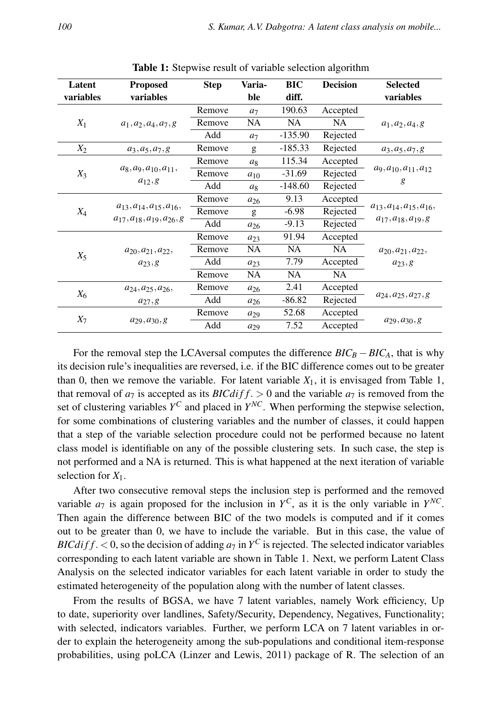| Latent    | <b>Proposed</b>                     | <b>Step</b> | Varia-         | <b>BIC</b> | <b>Decision</b> | <b>Selected</b>                   |
|-----------|-------------------------------------|-------------|----------------|------------|-----------------|-----------------------------------|
| variables | variables                           |             | ble            | diff.      |                 | variables                         |
|           |                                     | Remove      | a <sub>7</sub> | 190.63     | Accepted        |                                   |
| $X_1$     | $a_1, a_2, a_4, a_7, g$             | Remove      | <b>NA</b>      | <b>NA</b>  | <b>NA</b>       | $a_1, a_2, a_4, g$                |
|           |                                     | Add         | a <sub>7</sub> | $-135.90$  | Rejected        |                                   |
| $X_2$     | $a_3, a_5, a_7, g$                  | Remove      | g              | $-185.33$  | Rejected        | $a_3, a_5, a_7, g$                |
|           |                                     | Remove      | a <sub>8</sub> | 115.34     | Accepted        |                                   |
| $X_3$     | $a_8, a_9, a_{10}, a_{11},$         | Remove      | $a_{10}$       | $-31.69$   | Rejected        | $a_9, a_{10}, a_{11}, a_{12}$     |
|           | $a_{12}$ , g                        | Add         | a <sub>8</sub> | $-148.60$  | Rejected        | g                                 |
|           |                                     | Remove      | $a_{26}$       | 9.13       | Accepted        |                                   |
| $X_4$     | $a_{13}, a_{14}, a_{15}, a_{16},$   | Remove      | g              | $-6.98$    | Rejected        | $a_{13}, a_{14}, a_{15}, a_{16},$ |
|           | $a_{17}, a_{18}, a_{19}, a_{26}, g$ | Add         | $a_{26}$       | $-9.13$    | Rejected        | $a_{17}, a_{18}, a_{19}, g$       |
|           |                                     | Remove      | $a_{23}$       | 91.94      | Accepted        |                                   |
|           | $a_{20}, a_{21}, a_{22},$           | Remove      | <b>NA</b>      | <b>NA</b>  | <b>NA</b>       | $a_{20}, a_{21}, a_{22},$         |
| $X_5$     | $a_{23}$ , g                        | Add         | $a_{23}$       | 7.79       | Accepted        | $a_{23}$ , g                      |
|           |                                     | Remove      | <b>NA</b>      | <b>NA</b>  | <b>NA</b>       |                                   |
|           | $a_{24}, a_{25}, a_{26},$           | Remove      | $a_{26}$       | 2.41       | Accepted        |                                   |
| $X_6$     | $a_{27}$ , g                        | Add         | $a_{26}$       | $-86.82$   | Rejected        | $a_{24}, a_{25}, a_{27}, g$       |
|           |                                     | Remove      | $a_{29}$       | 52.68      | Accepted        |                                   |
| $X_7$     | $a_{29}, a_{30}, g$                 | Add         | $a_{29}$       | 7.52       | Accepted        | $a_{29}, a_{30}, g$               |

Table 1: Stepwise result of variable selection algorithm

For the removal step the LCAversal computes the difference  $BIC_B - BIC_A$ , that is why its decision rule's inequalities are reversed, i.e. if the BIC difference comes out to be greater than 0, then we remove the variable. For latent variable  $X_1$ , it is envisaged from Table 1, that removal of  $a_7$  is accepted as its *BICdiff*. > 0 and the variable  $a_7$  is removed from the set of clustering variables  $Y^C$  and placed in  $Y^{NC}$ . When performing the stepwise selection, for some combinations of clustering variables and the number of classes, it could happen that a step of the variable selection procedure could not be performed because no latent class model is identifiable on any of the possible clustering sets. In such case, the step is not performed and a NA is returned. This is what happened at the next iteration of variable selection for  $X_1$ .

After two consecutive removal steps the inclusion step is performed and the removed variable  $a_7$  is again proposed for the inclusion in  $Y^C$ , as it is the only variable in  $Y^{NC}$ . Then again the difference between BIC of the two models is computed and if it comes out to be greater than 0, we have to include the variable. But in this case, the value of *BICdiff.* < 0, so the decision of adding  $a_7$  in  $Y^C$  is rejected. The selected indicator variables corresponding to each latent variable are shown in Table 1. Next, we perform Latent Class Analysis on the selected indicator variables for each latent variable in order to study the estimated heterogeneity of the population along with the number of latent classes.

From the results of BGSA, we have 7 latent variables, namely Work efficiency, Up to date, superiority over landlines, Safety/Security, Dependency, Negatives, Functionality; with selected, indicators variables. Further, we perform LCA on 7 latent variables in order to explain the heterogeneity among the sub-populations and conditional item-response probabilities, using poLCA (Linzer and Lewis, 2011) package of R. The selection of an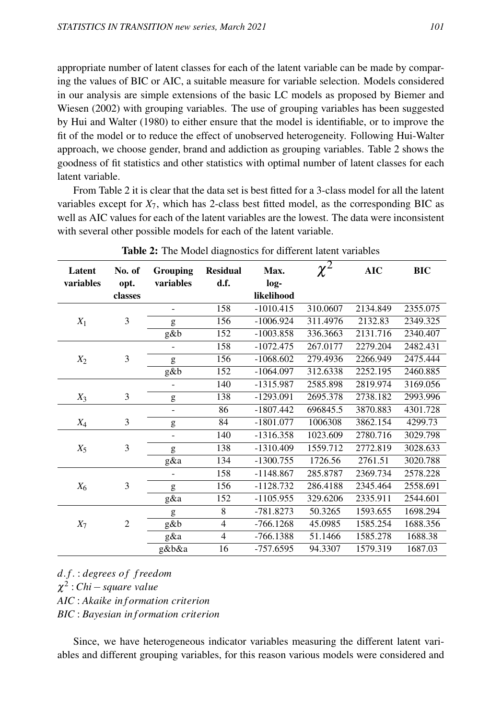appropriate number of latent classes for each of the latent variable can be made by comparing the values of BIC or AIC, a suitable measure for variable selection. Models considered in our analysis are simple extensions of the basic LC models as proposed by Biemer and Wiesen (2002) with grouping variables. The use of grouping variables has been suggested by Hui and Walter (1980) to either ensure that the model is identifiable, or to improve the fit of the model or to reduce the effect of unobserved heterogeneity. Following Hui-Walter approach, we choose gender, brand and addiction as grouping variables. Table 2 shows the goodness of fit statistics and other statistics with optimal number of latent classes for each latent variable.

From Table 2 it is clear that the data set is best fitted for a 3-class model for all the latent variables except for  $X_7$ , which has 2-class best fitted model, as the corresponding BIC as well as AIC values for each of the latent variables are the lowest. The data were inconsistent with several other possible models for each of the latent variable.

| Latent<br>variables | No. of<br>opt. | <b>Grouping</b><br>variables | <b>Residual</b><br>d.f. | Max.<br>log- | $\overline{\chi^2}$ | <b>AIC</b> | <b>BIC</b> |
|---------------------|----------------|------------------------------|-------------------------|--------------|---------------------|------------|------------|
|                     | classes        |                              |                         | likelihood   |                     |            |            |
|                     |                | -                            | 158                     | $-1010.415$  | 310.0607            | 2134.849   | 2355.075   |
| $X_1$               | 3              | g                            | 156                     | $-1006.924$  | 311.4976            | 2132.83    | 2349.325   |
|                     |                | g&b                          | 152                     | $-1003.858$  | 336.3663            | 2131.716   | 2340.407   |
|                     |                |                              | 158                     | $-1072.475$  | 267.0177            | 2279.204   | 2482.431   |
| $X_2$               | 3              | g                            | 156                     | $-1068.602$  | 279.4936            | 2266.949   | 2475.444   |
|                     |                | g&b                          | 152                     | $-1064.097$  | 312.6338            | 2252.195   | 2460.885   |
|                     |                | -                            | 140                     | $-1315.987$  | 2585.898            | 2819.974   | 3169.056   |
| $X_3$               | 3              | g                            | 138                     | $-1293.091$  | 2695.378            | 2738.182   | 2993.996   |
|                     |                | $\overline{\phantom{0}}$     | 86                      | $-1807.442$  | 696845.5            | 3870.883   | 4301.728   |
| $X_4$               | 3              | g                            | 84                      | $-1801.077$  | 1006308             | 3862.154   | 4299.73    |
|                     |                | $\overline{\phantom{a}}$     | 140                     | $-1316.358$  | 1023.609            | 2780.716   | 3029.798   |
| $X_5$               | 3              | g                            | 138                     | $-1310.409$  | 1559.712            | 2772.819   | 3028.633   |
|                     |                | g&a                          | 134                     | $-1300.755$  | 1726.56             | 2761.51    | 3020.788   |
|                     |                | $\overline{\phantom{0}}$     | 158                     | $-1148.867$  | 285.8787            | 2369.734   | 2578.228   |
| $X_6$               | 3              | g                            | 156                     | $-1128.732$  | 286.4188            | 2345.464   | 2558.691   |
|                     |                | g&a                          | 152                     | $-1105.955$  | 329.6206            | 2335.911   | 2544.601   |
|                     |                | g                            | 8                       | $-781.8273$  | 50.3265             | 1593.655   | 1698.294   |
| $X_7$               | $\overline{2}$ | g&b                          | $\overline{4}$          | $-766.1268$  | 45.0985             | 1585.254   | 1688.356   |
|                     |                | g&a                          | $\overline{4}$          | $-766.1388$  | 51.1466             | 1585.278   | 1688.38    |
|                     |                | g&b&a                        | 16                      | -757.6595    | 94.3307             | 1579.319   | 1687.03    |

|  |  |  | Table 2: The Model diagnostics for different latent variables |  |  |  |  |  |
|--|--|--|---------------------------------------------------------------|--|--|--|--|--|
|--|--|--|---------------------------------------------------------------|--|--|--|--|--|

*d*. *f*. : *degrees o f f reedom*

χ 2 : *Chi*−*square value*

*AIC* : *Akaike in f ormation criterion*

*BIC* : *Bayesian in f ormation criterion*

Since, we have heterogeneous indicator variables measuring the different latent variables and different grouping variables, for this reason various models were considered and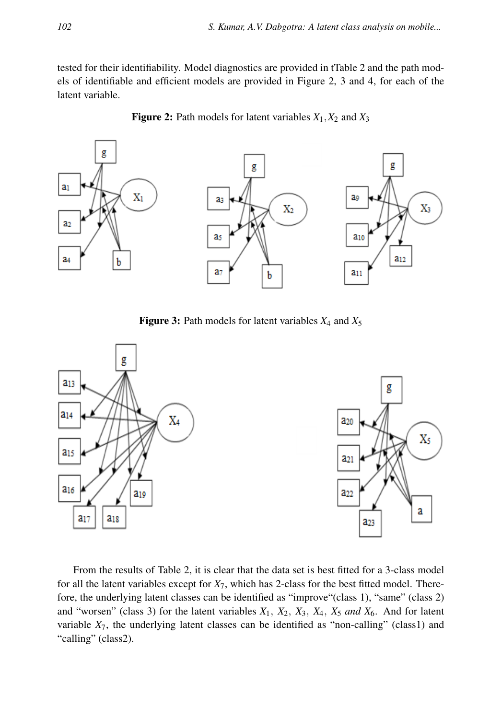tested for their identifiability. Model diagnostics are provided in tTable 2 and the path models of identifiable and efficient models are provided in Figure 2, 3 and 4, for each of the latent variable.



**Figure 2:** Path models for latent variables  $X_1, X_2$  and  $X_3$ 

Figure 3: Path models for latent variables *X*<sup>4</sup> and *X*<sup>5</sup>



From the results of Table 2, it is clear that the data set is best fitted for a 3-class model for all the latent variables except for  $X_7$ , which has 2-class for the best fitted model. Therefore, the underlying latent classes can be identified as "improve"(class 1), "same" (class 2) and "worsen" (class 3) for the latent variables *X*1, *X*2, *X*3, *X*4, *X*<sup>5</sup> *and X*6. And for latent variable  $X_7$ , the underlying latent classes can be identified as "non-calling" (class1) and "calling" (class2).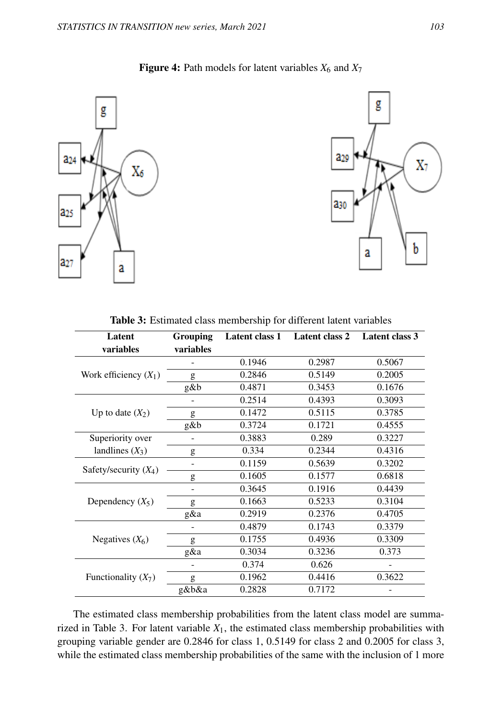

Figure 4: Path models for latent variables  $X_6$  and  $X_7$ 

| Latent                  | Grouping  | <b>Latent class 1</b> | Latent class 2 | <b>Latent class 3</b> |
|-------------------------|-----------|-----------------------|----------------|-----------------------|
| variables               | variables |                       |                |                       |
|                         |           | 0.1946                | 0.2987         | 0.5067                |
| Work efficiency $(X_1)$ | g         | 0.2846                | 0.5149         | 0.2005                |
|                         | g&b       | 0.4871                | 0.3453         | 0.1676                |
|                         |           | 0.2514                | 0.4393         | 0.3093                |
| Up to date $(X_2)$      | g         | 0.1472                | 0.5115         | 0.3785                |
|                         | g&b       | 0.3724                | 0.1721         | 0.4555                |
| Superiority over        |           | 0.3883                | 0.289          | 0.3227                |
| landlines $(X_3)$       | g         | 0.334                 | 0.2344         | 0.4316                |
| Safety/security $(X_4)$ |           | 0.1159                | 0.5639         | 0.3202                |
|                         | g         | 0.1605                | 0.1577         | 0.6818                |
|                         |           | 0.3645                | 0.1916         | 0.4439                |
| Dependency $(X_5)$      | g         | 0.1663                | 0.5233         | 0.3104                |
|                         | g&a       | 0.2919                | 0.2376         | 0.4705                |
|                         |           | 0.4879                | 0.1743         | 0.3379                |
| Negatives $(X_6)$       | g         | 0.1755                | 0.4936         | 0.3309                |
|                         | $g\&a$    | 0.3034                | 0.3236         | 0.373                 |
|                         |           | 0.374                 | 0.626          |                       |
| Functionality $(X_7)$   | g         | 0.1962                | 0.4416         | 0.3622                |
|                         | g&b&a     | 0.2828                | 0.7172         |                       |

The estimated class membership probabilities from the latent class model are summarized in Table 3. For latent variable  $X_1$ , the estimated class membership probabilities with grouping variable gender are 0.2846 for class 1, 0.5149 for class 2 and 0.2005 for class 3, while the estimated class membership probabilities of the same with the inclusion of 1 more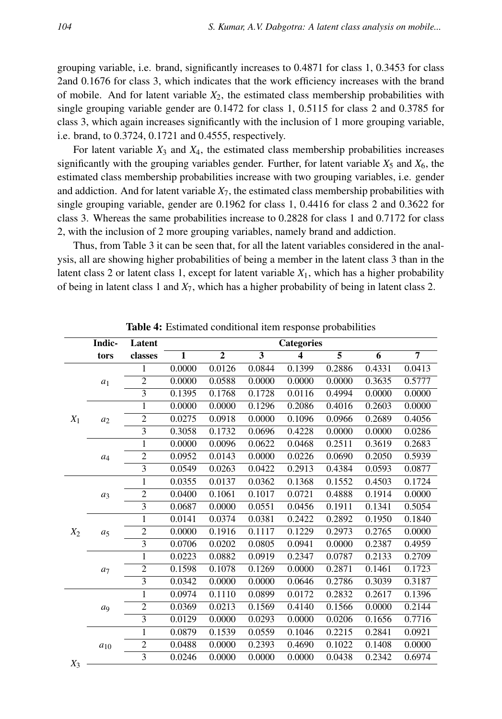grouping variable, i.e. brand, significantly increases to 0.4871 for class 1, 0.3453 for class 2and 0.1676 for class 3, which indicates that the work efficiency increases with the brand of mobile. And for latent variable *X*2, the estimated class membership probabilities with single grouping variable gender are 0.1472 for class 1, 0.5115 for class 2 and 0.3785 for class 3, which again increases significantly with the inclusion of 1 more grouping variable, i.e. brand, to 0.3724, 0.1721 and 0.4555, respectively.

For latent variable  $X_3$  and  $X_4$ , the estimated class membership probabilities increases significantly with the grouping variables gender. Further, for latent variable  $X_5$  and  $X_6$ , the estimated class membership probabilities increase with two grouping variables, i.e. gender and addiction. And for latent variable *X*7, the estimated class membership probabilities with single grouping variable, gender are 0.1962 for class 1, 0.4416 for class 2 and 0.3622 for class 3. Whereas the same probabilities increase to 0.2828 for class 1 and 0.7172 for class 2, with the inclusion of 2 more grouping variables, namely brand and addiction.

Thus, from Table 3 it can be seen that, for all the latent variables considered in the analysis, all are showing higher probabilities of being a member in the latent class 3 than in the latent class 2 or latent class 1, except for latent variable  $X_1$ , which has a higher probability of being in latent class 1 and *X*7, which has a higher probability of being in latent class 2.

|       | Indic-         | Latent                  |              |                |        | <b>Categories</b> |                |        |                |
|-------|----------------|-------------------------|--------------|----------------|--------|-------------------|----------------|--------|----------------|
|       | tors           | classes                 | $\mathbf{1}$ | $\overline{2}$ | 3      | $\boldsymbol{4}$  | $\overline{5}$ | 6      | $\overline{7}$ |
|       |                | 1                       | 0.0000       | 0.0126         | 0.0844 | 0.1399            | 0.2886         | 0.4331 | 0.0413         |
|       | $a_1$          | $\overline{2}$          | 0.0000       | 0.0588         | 0.0000 | 0.0000            | 0.0000         | 0.3635 | 0.5777         |
|       |                | $\overline{3}$          | 0.1395       | 0.1768         | 0.1728 | 0.0116            | 0.4994         | 0.0000 | 0.0000         |
|       |                | 1                       | 0.0000       | 0.0000         | 0.1296 | 0.2086            | 0.4016         | 0.2603 | 0.0000         |
| $X_1$ | $a_2$          | $\overline{2}$          | 0.0275       | 0.0918         | 0.0000 | 0.1096            | 0.0966         | 0.2689 | 0.4056         |
|       |                | $\overline{3}$          | 0.3058       | 0.1732         | 0.0696 | 0.4228            | 0.0000         | 0.0000 | 0.0286         |
|       |                | $\mathbf{1}$            | 0.0000       | 0.0096         | 0.0622 | 0.0468            | 0.2511         | 0.3619 | 0.2683         |
|       | $a_4$          | $\mathbf{2}$            | 0.0952       | 0.0143         | 0.0000 | 0.0226            | 0.0690         | 0.2050 | 0.5939         |
|       |                | $\overline{3}$          | 0.0549       | 0.0263         | 0.0422 | 0.2913            | 0.4384         | 0.0593 | 0.0877         |
|       |                | $\mathbf{1}$            | 0.0355       | 0.0137         | 0.0362 | 0.1368            | 0.1552         | 0.4503 | 0.1724         |
|       | $a_3$          | $\overline{2}$          | 0.0400       | 0.1061         | 0.1017 | 0.0721            | 0.4888         | 0.1914 | 0.0000         |
|       |                | $\overline{3}$          | 0.0687       | 0.0000         | 0.0551 | 0.0456            | 0.1911         | 0.1341 | 0.5054         |
|       |                | $\mathbf{1}$            | 0.0141       | 0.0374         | 0.0381 | 0.2422            | 0.2892         | 0.1950 | 0.1840         |
| $X_2$ | a <sub>5</sub> | $\mathbf{2}$            | 0.0000       | 0.1916         | 0.1117 | 0.1229            | 0.2973         | 0.2765 | 0.0000         |
|       |                | $\overline{\mathbf{3}}$ | 0.0706       | 0.0202         | 0.0805 | 0.0941            | 0.0000         | 0.2387 | 0.4959         |
|       |                | $\mathbf{1}$            | 0.0223       | 0.0882         | 0.0919 | 0.2347            | 0.0787         | 0.2133 | 0.2709         |
|       | a <sub>7</sub> | $\mathbf{2}$            | 0.1598       | 0.1078         | 0.1269 | 0.0000            | 0.2871         | 0.1461 | 0.1723         |
|       |                | 3                       | 0.0342       | 0.0000         | 0.0000 | 0.0646            | 0.2786         | 0.3039 | 0.3187         |
|       |                | $\mathbf{1}$            | 0.0974       | 0.1110         | 0.0899 | 0.0172            | 0.2832         | 0.2617 | 0.1396         |
|       | a <sub>9</sub> | $\mathbf{2}$            | 0.0369       | 0.0213         | 0.1569 | 0.4140            | 0.1566         | 0.0000 | 0.2144         |
|       |                | $\overline{\mathbf{3}}$ | 0.0129       | 0.0000         | 0.0293 | 0.0000            | 0.0206         | 0.1656 | 0.7716         |
|       |                | 1                       | 0.0879       | 0.1539         | 0.0559 | 0.1046            | 0.2215         | 0.2841 | 0.0921         |
|       | $a_{10}$       | $\overline{c}$          | 0.0488       | 0.0000         | 0.2393 | 0.4690            | 0.1022         | 0.1408 | 0.0000         |
|       |                | 3                       | 0.0246       | 0.0000         | 0.0000 | 0.0000            | 0.0438         | 0.2342 | 0.6974         |
| $X_3$ |                |                         |              |                |        |                   |                |        |                |

Table 4: Estimated conditional item response probabilities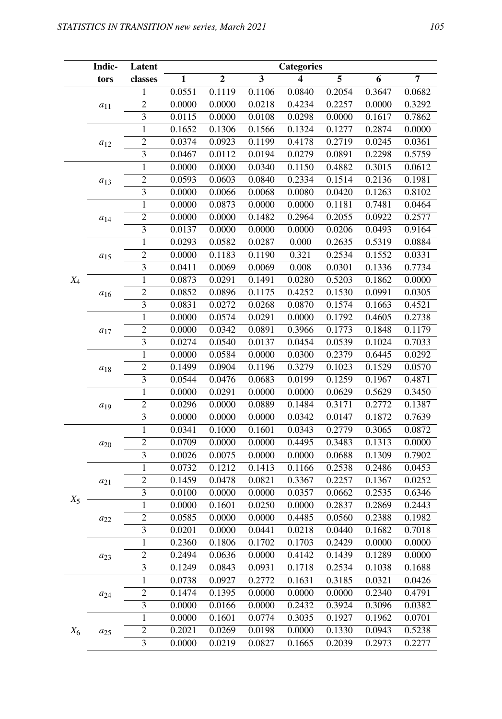|       | Indic-   | Latent                           |                  |                  |                         | <b>Categories</b>       |                  |                  |                  |
|-------|----------|----------------------------------|------------------|------------------|-------------------------|-------------------------|------------------|------------------|------------------|
|       | tors     | classes                          | $\mathbf{1}$     | $\mathbf 2$      | $\overline{\mathbf{3}}$ | $\overline{\mathbf{4}}$ | $\overline{5}$   | 6                | $\overline{7}$   |
|       |          | $\,1$                            | 0.0551           | 0.1119           | 0.1106                  | 0.0840                  | 0.2054           | 0.3647           | 0.0682           |
|       | $a_{11}$ | $\overline{2}$                   | 0.0000           | 0.0000           | 0.0218                  | 0.4234                  | 0.2257           | 0.0000           | 0.3292           |
|       |          | $\overline{3}$                   | 0.0115           | 0.0000           | 0.0108                  | 0.0298                  | 0.0000           | 0.1617           | 0.7862           |
|       |          | $\overline{1}$                   | 0.1652           | 0.1306           | 0.1566                  | 0.1324                  | 0.1277           | 0.2874           | 0.0000           |
|       | $a_{12}$ | $\overline{2}$                   | 0.0374           | 0.0923           | 0.1199                  | 0.4178                  | 0.2719           | 0.0245           | 0.0361           |
|       |          | $\overline{3}$                   | 0.0467           | 0.0112           | 0.0194                  | 0.0279                  | 0.0891           | 0.2298           | 0.5759           |
|       |          | $\mathbf{1}$                     | 0.0000           | 0.0000           | 0.0340                  | 0.1150                  | 0.4882           | 0.3015           | 0.0612           |
|       | $a_{13}$ | $\overline{c}$                   | 0.0593           | 0.0603           | 0.0840                  | 0.2334                  | 0.1514           | 0.2136           | 0.1981           |
|       |          | $\overline{3}$                   | 0.0000           | 0.0066           | 0.0068                  | 0.0080                  | 0.0420           | 0.1263           | 0.8102           |
|       |          | $\mathbf{1}$                     | 0.0000           | 0.0873           | 0.0000                  | 0.0000                  | 0.1181           | 0.7481           | 0.0464           |
|       | $a_{14}$ | $\overline{c}$                   | 0.0000           | 0.0000           | 0.1482                  | 0.2964                  | 0.2055           | 0.0922           | 0.2577           |
|       |          | $\overline{3}$                   | 0.0137           | 0.0000           | 0.0000                  | 0.0000                  | 0.0206           | 0.0493           | 0.9164           |
|       |          | $\mathbf{1}$                     | 0.0293           | 0.0582           | 0.0287                  | 0.000                   | 0.2635           | 0.5319           | 0.0884           |
|       | $a_{15}$ | $\overline{c}$                   | 0.0000           | 0.1183           | 0.1190                  | 0.321                   | 0.2534           | 0.1552           | 0.0331           |
|       |          | 3                                | 0.0411           | 0.0069           | 0.0069                  | 0.008                   | 0.0301           | 0.1336           | 0.7734           |
| $X_4$ |          | $\mathbf{1}$                     | 0.0873           | 0.0291           | 0.1491                  | 0.0280                  | 0.5203           | 0.1862           | 0.0000           |
|       | $a_{16}$ | $\overline{c}$                   | 0.0852           | 0.0896           | 0.1175                  | 0.4252                  | 0.1530           | 0.0991           | 0.0305           |
|       |          | 3                                | 0.0831           | 0.0272           | 0.0268                  | 0.0870                  | 0.1574           | 0.1663           | 0.4521           |
|       |          | $\mathbf{1}$                     | 0.0000           | 0.0574           | 0.0291                  | 0.0000                  | 0.1792           | 0.4605           | 0.2738           |
|       | $a_{17}$ | $\overline{2}$                   | 0.0000           | 0.0342           | 0.0891                  | 0.3966                  | 0.1773           | 0.1848           | 0.1179           |
|       |          | $\overline{\mathbf{3}}$          | 0.0274           | 0.0540           | 0.0137                  | 0.0454                  | 0.0539           | 0.1024           | 0.7033           |
|       |          | 1                                | 0.0000           | 0.0584           | 0.0000                  | 0.0300                  | 0.2379           | 0.6445           | 0.0292           |
|       | $a_{18}$ | $\overline{2}$                   | 0.1499           | 0.0904           | 0.1196                  | 0.3279                  | 0.1023           | 0.1529           | 0.0570           |
|       |          | $\overline{\overline{3}}$        | 0.0544           | 0.0476           | 0.0683                  | 0.0199                  | 0.1259           | 0.1967           | 0.4871           |
|       |          | 1                                | 0.0000           | 0.0291           | 0.0000                  | 0.0000                  | 0.0629           | 0.5629           | 0.3450           |
|       | $a_{19}$ | $\mathbf{2}$                     | 0.0296           | 0.0000           | 0.0889                  | 0.1484                  | 0.3171           | 0.2772           | 0.1387           |
|       |          | $\overline{\overline{3}}$        | 0.0000           | 0.0000           | 0.0000                  | 0.0342                  | 0.0147           | 0.1872           | 0.7639           |
|       |          | $\mathbf{1}$                     | 0.0341           | 0.1000           | 0.1601                  | 0.0343                  | 0.2779           | 0.3065           | 0.0872           |
|       | $a_{20}$ | $\mathbf{2}$                     | 0.0709           | 0.0000           | 0.0000                  | 0.4495                  | 0.3483           | 0.1313           | 0.0000           |
|       |          | $\overline{3}$                   | 0.0026           | 0.0075           | 0.0000                  | 0.0000                  | 0.0688           | 0.1309           | 0.7902           |
|       |          | $\mathbf{1}$                     | 0.0732           | 0.1212           | 0.1413                  | 0.1166                  | 0.2538           | 0.2486           | 0.0453           |
|       | $a_{21}$ | $\overline{c}$                   | 0.1459           | 0.0478           | 0.0821                  | 0.3367                  | 0.2257           | 0.1367           | 0.0252           |
| $X_5$ |          | $\overline{3}$                   | 0.0100           | 0.0000           | 0.0000                  | 0.0357                  | 0.0662           | 0.2535           | 0.6346           |
|       |          | $\mathbf{1}$                     | 0.0000           | 0.1601           | 0.0250                  | 0.0000                  | 0.2837           | 0.2869           | 0.2443           |
|       | $a_{22}$ | $\overline{c}$<br>$\overline{3}$ | 0.0585           | 0.0000           | 0.0000                  | 0.4485                  | 0.0560           | 0.2388           | 0.1982           |
|       |          |                                  | 0.0201<br>0.2360 | 0.0000           | 0.0441                  | 0.0218                  | 0.0440           | 0.1682<br>0.0000 | 0.7018           |
|       |          | 1                                |                  | 0.1806           | 0.1702<br>0.0000        | 0.1703                  | 0.2429           |                  | 0.0000<br>0.0000 |
|       | $a_{23}$ | $\overline{\mathbf{c}}$          | 0.2494           | 0.0636           |                         | 0.4142                  | 0.1439           | 0.1289<br>0.1038 |                  |
|       |          | 3<br>1                           | 0.1249           | 0.0843<br>0.0927 | 0.0931<br>0.2772        | 0.1718<br>0.1631        | 0.2534<br>0.3185 | 0.0321           | 0.1688<br>0.0426 |
|       |          | $\boldsymbol{2}$                 | 0.0738<br>0.1474 | 0.1395           | 0.0000                  | 0.0000                  | 0.0000           | 0.2340           | 0.4791           |
|       | $a_{24}$ | 3                                | 0.0000           | 0.0166           | 0.0000                  | 0.2432                  | 0.3924           | 0.3096           | 0.0382           |
|       |          | 1                                | 0.0000           | 0.1601           | 0.0774                  | 0.3035                  | 0.1927           | 0.1962           | 0.0701           |
| $X_6$ |          | $\overline{\mathbf{c}}$          | 0.2021           | 0.0269           | 0.0198                  | 0.0000                  | 0.1330           | 0.0943           | 0.5238           |
|       | $a_{25}$ | 3                                | 0.0000           | 0.0219           | 0.0827                  | 0.1665                  | 0.2039           | 0.2973           | 0.2277           |
|       |          |                                  |                  |                  |                         |                         |                  |                  |                  |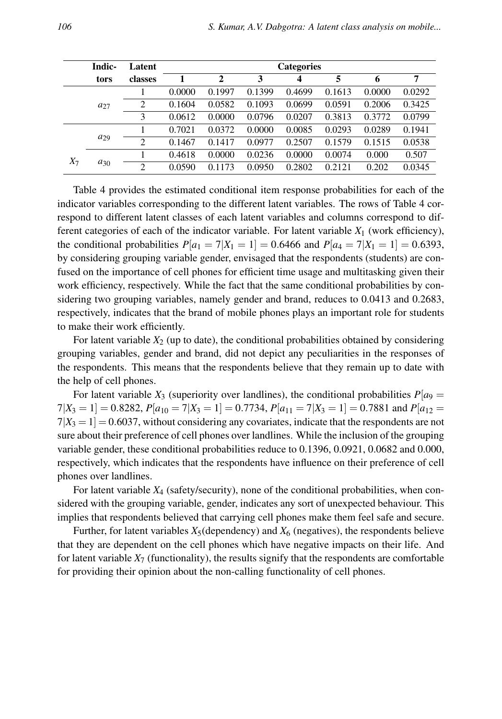|       | Indic-   | Latent         |        |              |        | <b>Categories</b> |        |        |        |
|-------|----------|----------------|--------|--------------|--------|-------------------|--------|--------|--------|
|       | tors     | classes        |        | $\mathbf{2}$ | 3      | 4                 | 5      | 6      | 7      |
|       |          |                | 0.0000 | 0.1997       | 0.1399 | 0.4699            | 0.1613 | 0.0000 | 0.0292 |
|       | $a_{27}$ | 2              | 0.1604 | 0.0582       | 0.1093 | 0.0699            | 0.0591 | 0.2006 | 0.3425 |
|       |          | 3              | 0.0612 | 0.0000       | 0.0796 | 0.0207            | 0.3813 | 0.3772 | 0.0799 |
|       |          |                | 0.7021 | 0.0372       | 0.0000 | 0.0085            | 0.0293 | 0.0289 | 0.1941 |
|       | $a_{29}$ | $\overline{2}$ | 0.1467 | 0.1417       | 0.0977 | 0.2507            | 0.1579 | 0.1515 | 0.0538 |
| $X_7$ |          |                | 0.4618 | 0.0000       | 0.0236 | 0.0000            | 0.0074 | 0.000  | 0.507  |
|       | $a_{30}$ | 2              | 0.0590 | 0.1173       | 0.0950 | 0.2802            | 0.2121 | 0.202  | 0.0345 |

Table 4 provides the estimated conditional item response probabilities for each of the indicator variables corresponding to the different latent variables. The rows of Table 4 correspond to different latent classes of each latent variables and columns correspond to different categories of each of the indicator variable. For latent variable *X*<sup>1</sup> (work efficiency), the conditional probabilities  $P[a_1 = 7|X_1 = 1] = 0.6466$  and  $P[a_4 = 7|X_1 = 1] = 0.6393$ , by considering grouping variable gender, envisaged that the respondents (students) are confused on the importance of cell phones for efficient time usage and multitasking given their work efficiency, respectively. While the fact that the same conditional probabilities by considering two grouping variables, namely gender and brand, reduces to 0.0413 and 0.2683, respectively, indicates that the brand of mobile phones plays an important role for students to make their work efficiently.

For latent variable  $X_2$  (up to date), the conditional probabilities obtained by considering grouping variables, gender and brand, did not depict any peculiarities in the responses of the respondents. This means that the respondents believe that they remain up to date with the help of cell phones.

For latent variable  $X_3$  (superiority over landlines), the conditional probabilities  $P[a_9 =$  $7|X_3 = 1| = 0.8282$ ,  $P[a_{10} = 7|X_3 = 1] = 0.7734$ ,  $P[a_{11} = 7|X_3 = 1] = 0.7881$  and  $P[a_{12} = 1] = 0.7881$  $7|X_3 = 1| = 0.6037$ , without considering any covariates, indicate that the respondents are not sure about their preference of cell phones over landlines. While the inclusion of the grouping variable gender, these conditional probabilities reduce to 0.1396, 0.0921, 0.0682 and 0.000, respectively, which indicates that the respondents have influence on their preference of cell phones over landlines.

For latent variable *X*<sup>4</sup> (safety/security), none of the conditional probabilities, when considered with the grouping variable, gender, indicates any sort of unexpected behaviour. This implies that respondents believed that carrying cell phones make them feel safe and secure.

Further, for latent variables  $X_5$  (dependency) and  $X_6$  (negatives), the respondents believe that they are dependent on the cell phones which have negative impacts on their life. And for latent variable  $X_7$  (functionality), the results signify that the respondents are comfortable for providing their opinion about the non-calling functionality of cell phones.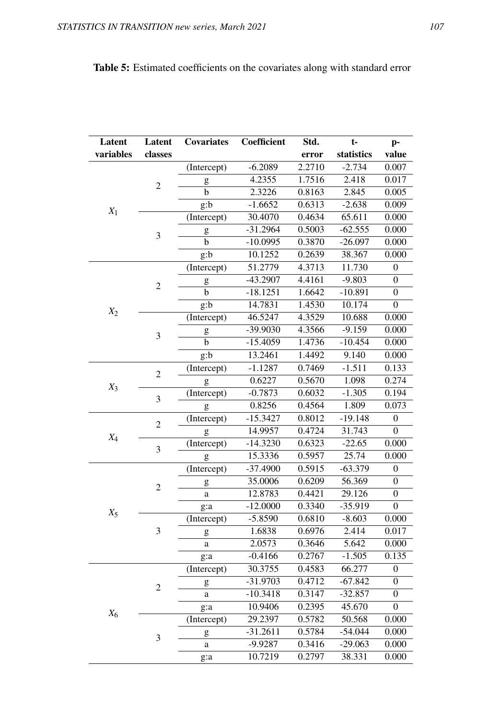| Latent    | Latent                  | <b>Covariates</b>                                                                                                                                                                                                                                                                                                                                                                                                              | Coefficient | Std.   | $t-$       | p-               |
|-----------|-------------------------|--------------------------------------------------------------------------------------------------------------------------------------------------------------------------------------------------------------------------------------------------------------------------------------------------------------------------------------------------------------------------------------------------------------------------------|-------------|--------|------------|------------------|
| variables | classes                 |                                                                                                                                                                                                                                                                                                                                                                                                                                |             | error  | statistics | value            |
|           |                         | (Intercept)                                                                                                                                                                                                                                                                                                                                                                                                                    | $-6.2089$   | 2.2710 | $-2.734$   | 0.007            |
|           |                         | $\mathbf{g}% _{T}=\mathbf{g}_{T}=\mathbf{g}_{T}=\mathbf{g}_{T}=\mathbf{g}_{T}=\mathbf{g}_{T}=\mathbf{g}_{T}=\mathbf{g}_{T}=\mathbf{g}_{T}=\mathbf{g}_{T}=\mathbf{g}_{T}=\mathbf{g}_{T}=\mathbf{g}_{T}=\mathbf{g}_{T}=\mathbf{g}_{T}=\mathbf{g}_{T}=\mathbf{g}_{T}=\mathbf{g}_{T}=\mathbf{g}_{T}=\mathbf{g}_{T}=\mathbf{g}_{T}=\mathbf{g}_{T}=\mathbf{g}_{T}=\mathbf{g}_{T}=\mathbf{g}_{T}=\mathbf{g}_{T}=\mathbf{g}_{T}=\math$ | 4.2355      | 1.7516 | 2.418      | 0.017            |
|           | $\overline{c}$          | b                                                                                                                                                                                                                                                                                                                                                                                                                              | 2.3226      | 0.8163 | 2.845      | 0.005            |
|           |                         | g:b                                                                                                                                                                                                                                                                                                                                                                                                                            | $-1.6652$   | 0.6313 | $-2.638$   | 0.009            |
| $X_1$     |                         | (Intercept)                                                                                                                                                                                                                                                                                                                                                                                                                    | 30.4070     | 0.4634 | 65.611     | 0.000            |
|           | $\overline{\mathbf{3}}$ | g                                                                                                                                                                                                                                                                                                                                                                                                                              | $-31.2964$  | 0.5003 | $-62.555$  | 0.000            |
|           |                         | b                                                                                                                                                                                                                                                                                                                                                                                                                              | $-10.0995$  | 0.3870 | $-26.097$  | 0.000            |
|           |                         | g:b                                                                                                                                                                                                                                                                                                                                                                                                                            | 10.1252     | 0.2639 | 38.367     | 0.000            |
|           |                         | (Intercept)                                                                                                                                                                                                                                                                                                                                                                                                                    | 51.2779     | 4.3713 | 11.730     | $\boldsymbol{0}$ |
|           | $\sqrt{2}$              | g                                                                                                                                                                                                                                                                                                                                                                                                                              | $-43.2907$  | 4.4161 | $-9.803$   | $\overline{0}$   |
|           |                         | b                                                                                                                                                                                                                                                                                                                                                                                                                              | $-18.1251$  | 1.6642 | $-10.891$  | $\boldsymbol{0}$ |
| $X_2$     |                         | g:b                                                                                                                                                                                                                                                                                                                                                                                                                            | 14.7831     | 1.4530 | 10.174     | $\boldsymbol{0}$ |
|           |                         | (Intercept)                                                                                                                                                                                                                                                                                                                                                                                                                    | 46.5247     | 4.3529 | 10.688     | 0.000            |
|           | 3                       | g                                                                                                                                                                                                                                                                                                                                                                                                                              | -39.9030    | 4.3566 | $-9.159$   | 0.000            |
|           |                         | b                                                                                                                                                                                                                                                                                                                                                                                                                              | $-15.4059$  | 1.4736 | $-10.454$  | 0.000            |
|           |                         | g:b                                                                                                                                                                                                                                                                                                                                                                                                                            | 13.2461     | 1.4492 | 9.140      | 0.000            |
|           | $\overline{2}$          | (Intercept)                                                                                                                                                                                                                                                                                                                                                                                                                    | $-1.1287$   | 0.7469 | $-1.511$   | 0.133            |
| $X_3$     | $\overline{\mathbf{3}}$ | g                                                                                                                                                                                                                                                                                                                                                                                                                              | 0.6227      | 0.5670 | 1.098      | 0.274            |
|           |                         | (Intercept)                                                                                                                                                                                                                                                                                                                                                                                                                    | $-0.7873$   | 0.6032 | $-1.305$   | 0.194            |
|           |                         | g                                                                                                                                                                                                                                                                                                                                                                                                                              | 0.8256      | 0.4564 | 1.809      | 0.073            |
|           | $\overline{c}$          | (Intercept)                                                                                                                                                                                                                                                                                                                                                                                                                    | $-15.3427$  | 0.8012 | $-19.148$  | 0                |
| $X_4$     |                         | g                                                                                                                                                                                                                                                                                                                                                                                                                              | 14.9957     | 0.4724 | 31.743     | $\boldsymbol{0}$ |
|           | 3                       | (Intercept)                                                                                                                                                                                                                                                                                                                                                                                                                    | $-14.3230$  | 0.6323 | $-22.65$   | 0.000            |
|           |                         | g                                                                                                                                                                                                                                                                                                                                                                                                                              | 15.3336     | 0.5957 | 25.74      | 0.000            |
|           |                         | (Intercept)                                                                                                                                                                                                                                                                                                                                                                                                                    | $-37.4900$  | 0.5915 | $-63.379$  | $\boldsymbol{0}$ |
|           | $\sqrt{2}$              | $\mathbf{g}% _{T}=\mathbf{g}_{T}=\mathbf{g}_{T}=\mathbf{g}_{T}=\mathbf{g}_{T}=\mathbf{g}_{T}=\mathbf{g}_{T}=\mathbf{g}_{T}=\mathbf{g}_{T}=\mathbf{g}_{T}=\mathbf{g}_{T}=\mathbf{g}_{T}=\mathbf{g}_{T}=\mathbf{g}_{T}=\mathbf{g}_{T}=\mathbf{g}_{T}=\mathbf{g}_{T}=\mathbf{g}_{T}=\mathbf{g}_{T}=\mathbf{g}_{T}=\mathbf{g}_{T}=\mathbf{g}_{T}=\mathbf{g}_{T}=\mathbf{g}_{T}=\mathbf{g}_{T}=\mathbf{g}_{T}=\mathbf{g}_{T}=\math$ | 35.0006     | 0.6209 | 56.369     | $\mathbf{0}$     |
|           |                         | a                                                                                                                                                                                                                                                                                                                                                                                                                              | 12.8783     | 0.4421 | 29.126     | $\Omega$         |
| $X_5$     |                         | g:a                                                                                                                                                                                                                                                                                                                                                                                                                            | $-12.0000$  | 0.3340 | $-35.919$  | $\overline{0}$   |
|           |                         | (Intercept)                                                                                                                                                                                                                                                                                                                                                                                                                    | $-5.8590$   | 0.6810 | $-8.603$   | 0.000            |
|           | 3                       | g                                                                                                                                                                                                                                                                                                                                                                                                                              | 1.6838      | 0.6976 | 2.414      | 0.017            |
|           |                         | a                                                                                                                                                                                                                                                                                                                                                                                                                              | 2.0573      | 0.3646 | 5.642      | 0.000            |
|           |                         | g:a                                                                                                                                                                                                                                                                                                                                                                                                                            | $-0.4166$   | 0.2767 | $-1.505$   | 0.135            |
|           |                         | (Intercept)                                                                                                                                                                                                                                                                                                                                                                                                                    | 30.3755     | 0.4583 | 66.277     | $\overline{0}$   |
|           | $\sqrt{2}$              | g                                                                                                                                                                                                                                                                                                                                                                                                                              | $-31.9703$  | 0.4712 | $-67.842$  | $\boldsymbol{0}$ |
|           |                         | $\rm{a}$                                                                                                                                                                                                                                                                                                                                                                                                                       | $-10.3418$  | 0.3147 | $-32.857$  | $\overline{0}$   |
| $X_6$     |                         | g:a                                                                                                                                                                                                                                                                                                                                                                                                                            | 10.9406     | 0.2395 | 45.670     | $\overline{0}$   |
|           |                         | (Intercept)                                                                                                                                                                                                                                                                                                                                                                                                                    | 29.2397     | 0.5782 | 50.568     | 0.000            |
|           | 3                       | g                                                                                                                                                                                                                                                                                                                                                                                                                              | $-31.2611$  | 0.5784 | $-54.044$  | 0.000            |
|           |                         | $\mathbf a$                                                                                                                                                                                                                                                                                                                                                                                                                    | $-9.9287$   | 0.3416 | $-29.063$  | 0.000            |
|           |                         | g:a                                                                                                                                                                                                                                                                                                                                                                                                                            | 10.7219     | 0.2797 | 38.331     | 0.000            |

## Table 5: Estimated coefficients on the covariates along with standard error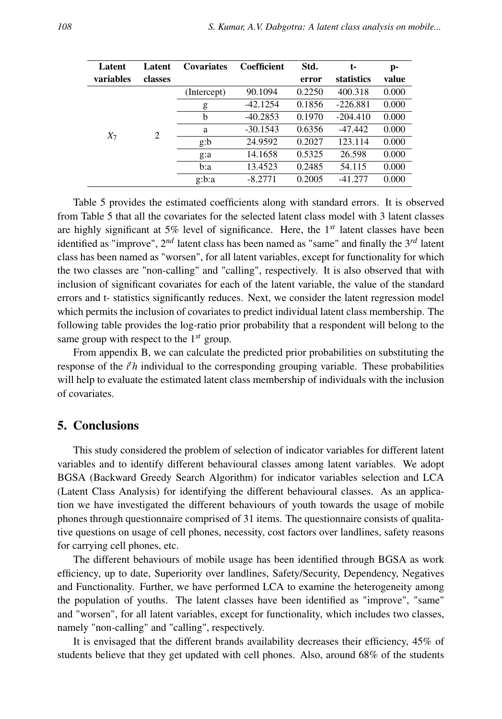| Latent    | Latent  | <b>Covariates</b> | Coefficient | Std.   | t-         | p-    |
|-----------|---------|-------------------|-------------|--------|------------|-------|
| variables | classes |                   |             | error  | statistics | value |
|           |         | (Intercept)       | 90.1094     | 0.2250 | 400.318    | 0.000 |
|           |         | g                 | $-42.1254$  | 0.1856 | $-226.881$ | 0.000 |
|           |         | b                 | $-40.2853$  | 0.1970 | $-204.410$ | 0.000 |
| $X_7$     | 2       | a                 | $-30.1543$  | 0.6356 | $-47.442$  | 0.000 |
|           |         | g:b               | 24.9592     | 0.2027 | 123.114    | 0.000 |
|           |         | g:a               | 14.1658     | 0.5325 | 26.598     | 0.000 |
|           |         | b:a               | 13.4523     | 0.2485 | 54.115     | 0.000 |
|           |         | g:b:a             | $-8.2771$   | 0.2005 | $-41.277$  | 0.000 |

Table 5 provides the estimated coefficients along with standard errors. It is observed from Table 5 that all the covariates for the selected latent class model with 3 latent classes are highly significant at 5% level of significance. Here, the 1*st* latent classes have been identified as "improve", 2*nd* latent class has been named as "same" and finally the 3*rd* latent class has been named as "worsen", for all latent variables, except for functionality for which the two classes are "non-calling" and "calling", respectively. It is also observed that with inclusion of significant covariates for each of the latent variable, the value of the standard errors and t- statistics significantly reduces. Next, we consider the latent regression model which permits the inclusion of covariates to predict individual latent class membership. The following table provides the log-ratio prior probability that a respondent will belong to the same group with respect to the 1*st* group.

From appendix B, we can calculate the predicted prior probabilities on substituting the response of the *i <sup>t</sup>h* individual to the corresponding grouping variable. These probabilities will help to evaluate the estimated latent class membership of individuals with the inclusion of covariates.

#### 5. Conclusions

This study considered the problem of selection of indicator variables for different latent variables and to identify different behavioural classes among latent variables. We adopt BGSA (Backward Greedy Search Algorithm) for indicator variables selection and LCA (Latent Class Analysis) for identifying the different behavioural classes. As an application we have investigated the different behaviours of youth towards the usage of mobile phones through questionnaire comprised of 31 items. The questionnaire consists of qualitative questions on usage of cell phones, necessity, cost factors over landlines, safety reasons for carrying cell phones, etc.

The different behaviours of mobile usage has been identified through BGSA as work efficiency, up to date, Superiority over landlines, Safety/Security, Dependency, Negatives and Functionality. Further, we have performed LCA to examine the heterogeneity among the population of youths. The latent classes have been identified as "improve", "same" and "worsen", for all latent variables, except for functionality, which includes two classes, namely "non-calling" and "calling", respectively.

It is envisaged that the different brands availability decreases their efficiency, 45% of students believe that they get updated with cell phones. Also, around 68% of the students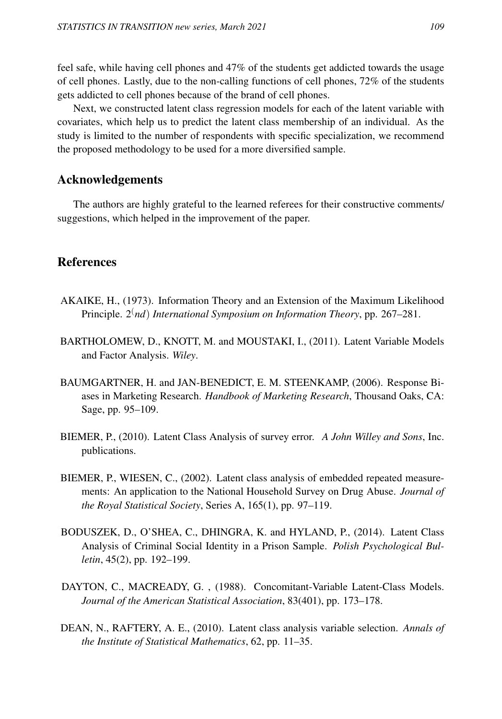feel safe, while having cell phones and 47% of the students get addicted towards the usage of cell phones. Lastly, due to the non-calling functions of cell phones, 72% of the students gets addicted to cell phones because of the brand of cell phones.

Next, we constructed latent class regression models for each of the latent variable with covariates, which help us to predict the latent class membership of an individual. As the study is limited to the number of respondents with specific specialization, we recommend the proposed methodology to be used for a more diversified sample.

### Acknowledgements

The authors are highly grateful to the learned referees for their constructive comments/ suggestions, which helped in the improvement of the paper.

## References

- AKAIKE, H., (1973). Information Theory and an Extension of the Maximum Likelihood Principle. 2(*nd*) *International Symposium on Information Theory*, pp. 267–281.
- BARTHOLOMEW, D., KNOTT, M. and MOUSTAKI, I., (2011). Latent Variable Models and Factor Analysis. *Wiley*.
- BAUMGARTNER, H. and JAN-BENEDICT, E. M. STEENKAMP, (2006). Response Biases in Marketing Research. *Handbook of Marketing Research*, Thousand Oaks, CA: Sage, pp. 95–109.
- BIEMER, P., (2010). Latent Class Analysis of survey error. *A John Willey and Sons*, Inc. publications.
- BIEMER, P., WIESEN, C., (2002). Latent class analysis of embedded repeated measurements: An application to the National Household Survey on Drug Abuse. *Journal of the Royal Statistical Society*, Series A, 165(1), pp. 97–119.
- BODUSZEK, D., O'SHEA, C., DHINGRA, K. and HYLAND, P., (2014). Latent Class Analysis of Criminal Social Identity in a Prison Sample. *Polish Psychological Bulletin*, 45(2), pp. 192–199.
- DAYTON, C., MACREADY, G., (1988). Concomitant-Variable Latent-Class Models. *Journal of the American Statistical Association*, 83(401), pp. 173–178.
- DEAN, N., RAFTERY, A. E., (2010). Latent class analysis variable selection. *Annals of the Institute of Statistical Mathematics*, 62, pp. 11–35.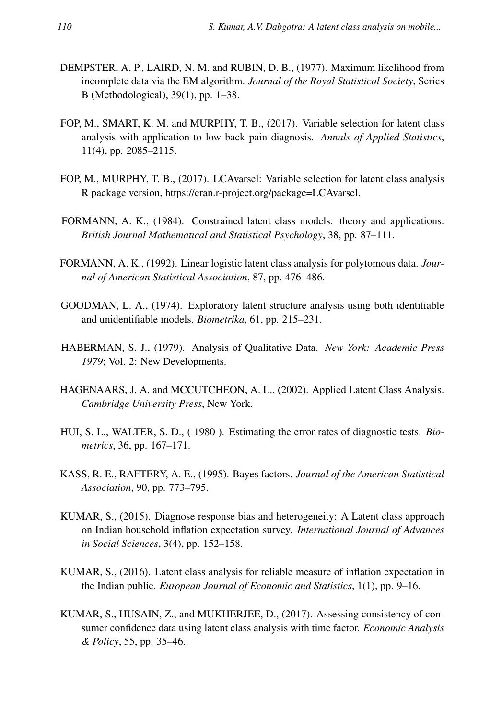- DEMPSTER, A. P., LAIRD, N. M. and RUBIN, D. B., (1977). Maximum likelihood from incomplete data via the EM algorithm. *Journal of the Royal Statistical Society*, Series B (Methodological), 39(1), pp. 1–38.
- FOP, M., SMART, K. M. and MURPHY, T. B., (2017). Variable selection for latent class analysis with application to low back pain diagnosis. *Annals of Applied Statistics*, 11(4), pp. 2085–2115.
- FOP, M., MURPHY, T. B., (2017). LCAvarsel: Variable selection for latent class analysis R package version, https://cran.r-project.org/package=LCAvarsel.
- FORMANN, A. K., (1984). Constrained latent class models: theory and applications. *British Journal Mathematical and Statistical Psychology*, 38, pp. 87–111.
- FORMANN, A. K., (1992). Linear logistic latent class analysis for polytomous data. *Journal of American Statistical Association*, 87, pp. 476–486.
- GOODMAN, L. A., (1974). Exploratory latent structure analysis using both identifiable and unidentifiable models. *Biometrika*, 61, pp. 215–231.
- HABERMAN, S. J., (1979). Analysis of Qualitative Data. *New York: Academic Press 1979*; Vol. 2: New Developments.
- HAGENAARS, J. A. and MCCUTCHEON, A. L., (2002). Applied Latent Class Analysis. *Cambridge University Press*, New York.
- HUI, S. L., WALTER, S. D., ( 1980 ). Estimating the error rates of diagnostic tests. *Biometrics*, 36, pp. 167–171.
- KASS, R. E., RAFTERY, A. E., (1995). Bayes factors. *Journal of the American Statistical Association*, 90, pp. 773–795.
- KUMAR, S., (2015). Diagnose response bias and heterogeneity: A Latent class approach on Indian household inflation expectation survey. *International Journal of Advances in Social Sciences*, 3(4), pp. 152–158.
- KUMAR, S., (2016). Latent class analysis for reliable measure of inflation expectation in the Indian public. *European Journal of Economic and Statistics*, 1(1), pp. 9–16.
- KUMAR, S., HUSAIN, Z., and MUKHERJEE, D., (2017). Assessing consistency of consumer confidence data using latent class analysis with time factor. *Economic Analysis & Policy*, 55, pp. 35–46.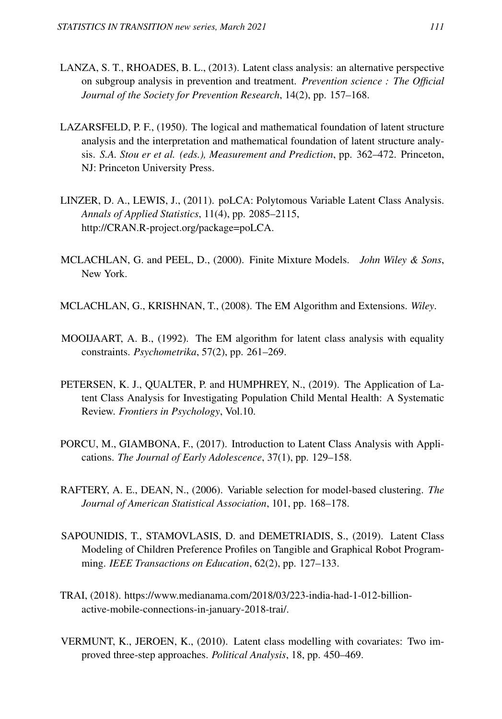- LANZA, S. T., RHOADES, B. L., (2013). Latent class analysis: an alternative perspective on subgroup analysis in prevention and treatment. *Prevention science : The Official Journal of the Society for Prevention Research*, 14(2), pp. 157–168.
- LAZARSFELD, P. F., (1950). The logical and mathematical foundation of latent structure analysis and the interpretation and mathematical foundation of latent structure analysis. *S.A. Stou er et al. (eds.), Measurement and Prediction*, pp. 362–472. Princeton, NJ: Princeton University Press.
- LINZER, D. A., LEWIS, J., (2011). poLCA: Polytomous Variable Latent Class Analysis. *Annals of Applied Statistics*, 11(4), pp. 2085–2115, http://CRAN.R-project.org/package=poLCA.
- MCLACHLAN, G. and PEEL, D., (2000). Finite Mixture Models. *John Wiley & Sons*, New York.
- MCLACHLAN, G., KRISHNAN, T., (2008). The EM Algorithm and Extensions. *Wiley*.
- MOOIJAART, A. B., (1992). The EM algorithm for latent class analysis with equality constraints. *Psychometrika*, 57(2), pp. 261–269.
- PETERSEN, K. J., QUALTER, P. and HUMPHREY, N., (2019). The Application of Latent Class Analysis for Investigating Population Child Mental Health: A Systematic Review. *Frontiers in Psychology*, Vol.10.
- PORCU, M., GIAMBONA, F., (2017). Introduction to Latent Class Analysis with Applications. *The Journal of Early Adolescence*, 37(1), pp. 129–158.
- RAFTERY, A. E., DEAN, N., (2006). Variable selection for model-based clustering. *The Journal of American Statistical Association*, 101, pp. 168–178.
- SAPOUNIDIS, T., STAMOVLASIS, D. and DEMETRIADIS, S., (2019). Latent Class Modeling of Children Preference Profiles on Tangible and Graphical Robot Programming. *IEEE Transactions on Education*, 62(2), pp. 127–133.
- TRAI, (2018). https://www.medianama.com/2018/03/223-india-had-1-012-billionactive-mobile-connections-in-january-2018-trai/.
- VERMUNT, K., JEROEN, K., (2010). Latent class modelling with covariates: Two improved three-step approaches. *Political Analysis*, 18, pp. 450–469.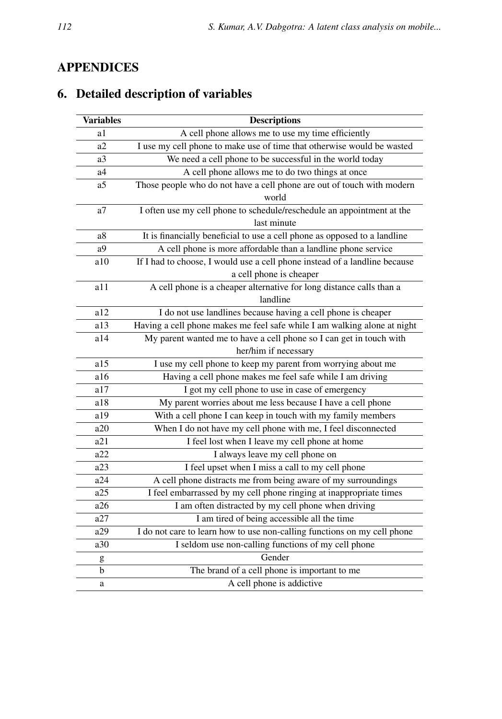# APPENDICES

# 6. Detailed description of variables

| <b>Variables</b> | <b>Descriptions</b>                                                                                   |
|------------------|-------------------------------------------------------------------------------------------------------|
| a1               | A cell phone allows me to use my time efficiently                                                     |
| a2               | I use my cell phone to make use of time that otherwise would be wasted                                |
| a3               | We need a cell phone to be successful in the world today                                              |
| a4               | A cell phone allows me to do two things at once                                                       |
| a5               | Those people who do not have a cell phone are out of touch with modern<br>world                       |
| a7               | I often use my cell phone to schedule/reschedule an appointment at the                                |
|                  | last minute                                                                                           |
| a8               | It is financially beneficial to use a cell phone as opposed to a landline                             |
| a9               | A cell phone is more affordable than a landline phone service                                         |
| a10              | If I had to choose, I would use a cell phone instead of a landline because<br>a cell phone is cheaper |
| a11              | A cell phone is a cheaper alternative for long distance calls than a<br>landline                      |
| a12              | I do not use landlines because having a cell phone is cheaper                                         |
| a13              | Having a cell phone makes me feel safe while I am walking alone at night                              |
| a14              | My parent wanted me to have a cell phone so I can get in touch with                                   |
|                  | her/him if necessary                                                                                  |
| a15              | I use my cell phone to keep my parent from worrying about me                                          |
| a16              | Having a cell phone makes me feel safe while I am driving                                             |
| a17              | I got my cell phone to use in case of emergency                                                       |
| a18              | My parent worries about me less because I have a cell phone                                           |
| a19              | With a cell phone I can keep in touch with my family members                                          |
| a20              | When I do not have my cell phone with me, I feel disconnected                                         |
| a21              | I feel lost when I leave my cell phone at home                                                        |
| a22              | I always leave my cell phone on                                                                       |
| a23              | I feel upset when I miss a call to my cell phone                                                      |
| a24              | A cell phone distracts me from being aware of my surroundings                                         |
| a25              | I feel embarrassed by my cell phone ringing at inappropriate times                                    |
| a26              | I am often distracted by my cell phone when driving                                                   |
| a27              | I am tired of being accessible all the time                                                           |
| a29              | I do not care to learn how to use non-calling functions on my cell phone                              |
| a30              | I seldom use non-calling functions of my cell phone                                                   |
| g                | Gender                                                                                                |
| b                | The brand of a cell phone is important to me                                                          |
| a                | A cell phone is addictive                                                                             |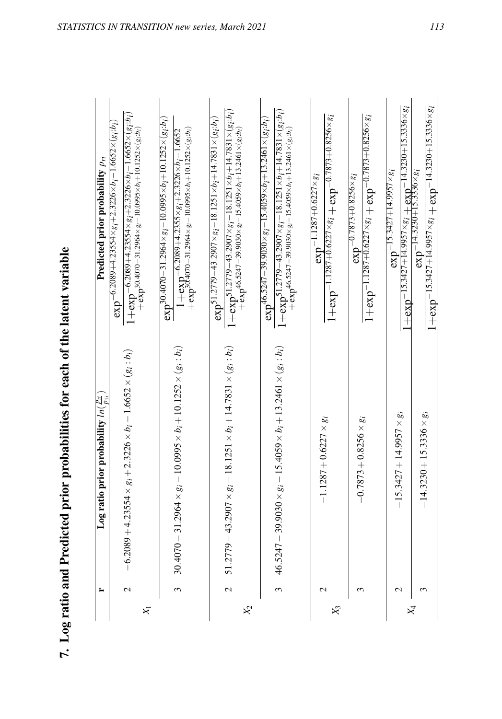| <b>CHANGE</b>                                         |
|-------------------------------------------------------|
|                                                       |
|                                                       |
| s for each of the latent                              |
|                                                       |
| <b>. とうしゃ イント・システィー</b><br>$\ddot{\phantom{a}}$<br>l  |
| 5<br>3<br>3<br>5<br>5<br>4                            |
| $\vdots$                                              |
| うしょうしゃ                                                |
| $\overline{I}$ or ratio and $D$ radic<br>$-10.5$ ran- |
| $\ddot{\phantom{0}}$<br>h                             |

| $\mathcal{S}$<br>51<br>Z<br>$\mathcal{R}_{2}$<br>$X_{1}$ | $(4070 - 31.2964 \times g_i - 10.0995 \times b_i + 10.1252 \times (g_i : b_i))$<br>$(6.2089 + 4.23554 \times g_i + 2.3226 \times b_i - 1.6652 \times (g_i : b_i))$ |                                                                                                                                                                                                                                                                                                                                     |
|----------------------------------------------------------|--------------------------------------------------------------------------------------------------------------------------------------------------------------------|-------------------------------------------------------------------------------------------------------------------------------------------------------------------------------------------------------------------------------------------------------------------------------------------------------------------------------------|
|                                                          |                                                                                                                                                                    | $1 + \exp(-6.2089 + 4.23554 \times g_i + 2.3226 \times b_i - 1.6652 \times (g_i:b_i))$<br>$\exp$ -6.2089+4.23554×g <sub>i</sub> +2.3226×b <sub>i</sub> -1.6652×(g <sub>i</sub> :b <sub>i</sub> )<br>$-\frac{1}{2}$ exp <sup>-30.4070</sup> -31.2964×g <sub>i</sub> -10.0995×b <sub>i</sub> +10.1252×(g <sub>i</sub> :b <sub>i</sub> |
|                                                          |                                                                                                                                                                    | $\exp^{30.4070-31.2964\times g_i-10.0995\times b_i+10.1252\times (g_i:b_i)}$<br>$+\exp^{\frac{1}{2}3\vec{C}\cdot 4070-31.2964\times g_{i}-10.0995\times b_{i}+10.1252\times (g_{i}:b_{i})}$<br>$1+\exp(-6.2089+4.2355\times g_1+2.3226\times h_1-1.6652$                                                                            |
|                                                          | $(2779 - 43.2907 \times g_i - 18.1251 \times b_i + 14.7831 \times (g_i : b_i))$                                                                                    | $1+\exp^{51.2779-43.2907\times g_{i}-18.1251\times b_{i}+14.7831\times (g_{i}:b_{i})}$<br>$\exp 51.2779 - 43.2907 \times g_i - 18.1251 \times b_i + 14.7831 \times (g_i:b_i)$<br>$+\frac{1}{2}$ exp <sup>46.5247</sup> - 39.9030× g <sub>i</sub> - 15.4059× b <sub>i</sub> + 13.2461× (g <sub>i</sub> :b <sub>i</sub> )             |
|                                                          | $5247 - 39.9030 \times g_i - 15.4059 \times b_i + 13.2461 \times (g_i:b_i)$                                                                                        | $1+\exp^{51.2779-43.2907\times g_i-18.1251\times b_i+14.7831\times (g_i:b_i)}$<br>$\exp^{46.5247-39.9030\times g_i-15.4059\times b_i+13.2461\times (g_i:b_i)}$<br>$+\frac{1}{2}$ exp <sup>46.5247</sup> - 39.9030×g <sub>i</sub> - 15.4059×b <sub>i</sub> + 13.2461×(g <sub>i</sub> :b <sub>i</sub> )                               |
| $\mathbf{C}$<br>$\chi_3$                                 | $-1.1287 + 0.6227 \times g_i$                                                                                                                                      | $1 + \exp^{-1.1287 + 0.6227 \times g_i} + \exp^{-0.7873 + 0.8256 \times g_i}$<br>$\exp^{-1.1287+0.6227\times g_i}$                                                                                                                                                                                                                  |
| $\epsilon$                                               | $-0.7873 + 0.8256 \times g_i$                                                                                                                                      | $1+$ exp $-$ 1.1287+0.6227 $\times$ 8 $i+$ exp $-$ 0.7873+0.8256 $\times$ 8 $i$<br>$\exp^{-0.7873+0.8256\times g_i}$                                                                                                                                                                                                                |
| $\mathcal{L}$                                            | $-15.3427 + 14.9957 \times g_i$                                                                                                                                    | $\frac{1 + \exp(-15.3427 + 14.9957 \times g_i + \exp(-14.3230 + 15.3336 \times g_i)}{\exp(-14.3230 + 15.3356 \times g_i)}$<br>$\exp^{-15.3427+14.9957\times g_i}$                                                                                                                                                                   |
| $X_4$                                                    | $-14.3230 + 15.3336 \times g_i$                                                                                                                                    | $1+\exp^{-15.3427+14.9957\times g_i} + \exp^{-14.3230+15.3336\times g_i}$                                                                                                                                                                                                                                                           |

*STATISTICS IN TRANSITION new series, March 2021* 113